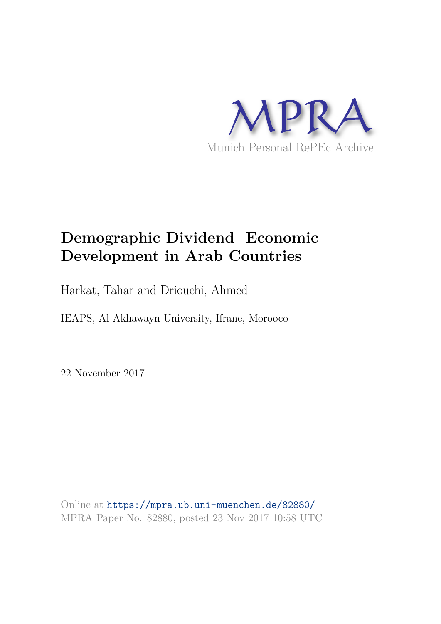

# **Demographic Dividend Economic Development in Arab Countries**

Harkat, Tahar and Driouchi, Ahmed

IEAPS, Al Akhawayn University, Ifrane, Morooco

22 November 2017

Online at https://mpra.ub.uni-muenchen.de/82880/ MPRA Paper No. 82880, posted 23 Nov 2017 10:58 UTC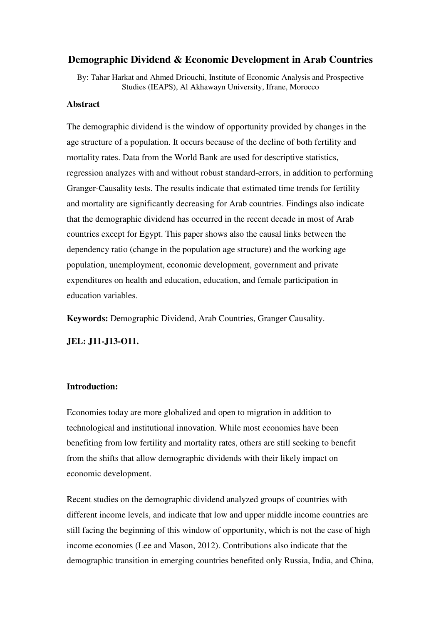## **Demographic Dividend & Economic Development in Arab Countries**

By: Tahar Harkat and Ahmed Driouchi, Institute of Economic Analysis and Prospective Studies (IEAPS), Al Akhawayn University, Ifrane, Morocco

#### **Abstract**

The demographic dividend is the window of opportunity provided by changes in the age structure of a population. It occurs because of the decline of both fertility and mortality rates. Data from the World Bank are used for descriptive statistics, regression analyzes with and without robust standard-errors, in addition to performing Granger-Causality tests. The results indicate that estimated time trends for fertility and mortality are significantly decreasing for Arab countries. Findings also indicate that the demographic dividend has occurred in the recent decade in most of Arab countries except for Egypt. This paper shows also the causal links between the dependency ratio (change in the population age structure) and the working age population, unemployment, economic development, government and private expenditures on health and education, education, and female participation in education variables.

**Keywords:** Demographic Dividend, Arab Countries, Granger Causality.

**JEL: J11-J13-O11.** 

#### **Introduction:**

Economies today are more globalized and open to migration in addition to technological and institutional innovation. While most economies have been benefiting from low fertility and mortality rates, others are still seeking to benefit from the shifts that allow demographic dividends with their likely impact on economic development.

Recent studies on the demographic dividend analyzed groups of countries with different income levels, and indicate that low and upper middle income countries are still facing the beginning of this window of opportunity, which is not the case of high income economies (Lee and Mason, 2012). Contributions also indicate that the demographic transition in emerging countries benefited only Russia, India, and China,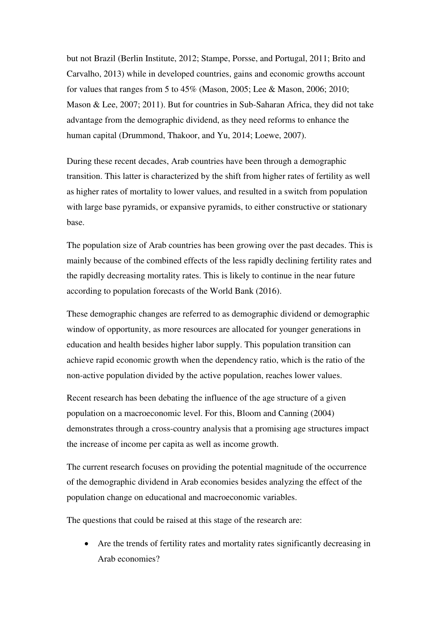but not Brazil (Berlin Institute, 2012; Stampe, Porsse, and Portugal, 2011; Brito and Carvalho, 2013) while in developed countries, gains and economic growths account for values that ranges from 5 to 45% (Mason, 2005; Lee & Mason, 2006; 2010; Mason & Lee, 2007; 2011). But for countries in Sub-Saharan Africa, they did not take advantage from the demographic dividend, as they need reforms to enhance the human capital (Drummond, Thakoor, and Yu, 2014; Loewe, 2007).

During these recent decades, Arab countries have been through a demographic transition. This latter is characterized by the shift from higher rates of fertility as well as higher rates of mortality to lower values, and resulted in a switch from population with large base pyramids, or expansive pyramids, to either constructive or stationary base.

The population size of Arab countries has been growing over the past decades. This is mainly because of the combined effects of the less rapidly declining fertility rates and the rapidly decreasing mortality rates. This is likely to continue in the near future according to population forecasts of the World Bank (2016).

These demographic changes are referred to as demographic dividend or demographic window of opportunity, as more resources are allocated for younger generations in education and health besides higher labor supply. This population transition can achieve rapid economic growth when the dependency ratio, which is the ratio of the non-active population divided by the active population, reaches lower values.

Recent research has been debating the influence of the age structure of a given population on a macroeconomic level. For this, Bloom and Canning (2004) demonstrates through a cross-country analysis that a promising age structures impact the increase of income per capita as well as income growth.

The current research focuses on providing the potential magnitude of the occurrence of the demographic dividend in Arab economies besides analyzing the effect of the population change on educational and macroeconomic variables.

The questions that could be raised at this stage of the research are:

 Are the trends of fertility rates and mortality rates significantly decreasing in Arab economies?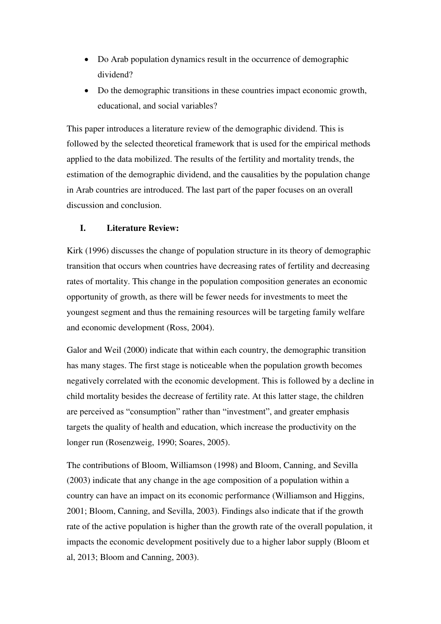- Do Arab population dynamics result in the occurrence of demographic dividend?
- Do the demographic transitions in these countries impact economic growth, educational, and social variables?

This paper introduces a literature review of the demographic dividend. This is followed by the selected theoretical framework that is used for the empirical methods applied to the data mobilized. The results of the fertility and mortality trends, the estimation of the demographic dividend, and the causalities by the population change in Arab countries are introduced. The last part of the paper focuses on an overall discussion and conclusion.

#### **I. Literature Review:**

Kirk (1996) discusses the change of population structure in its theory of demographic transition that occurs when countries have decreasing rates of fertility and decreasing rates of mortality. This change in the population composition generates an economic opportunity of growth, as there will be fewer needs for investments to meet the youngest segment and thus the remaining resources will be targeting family welfare and economic development (Ross, 2004).

Galor and Weil (2000) indicate that within each country, the demographic transition has many stages. The first stage is noticeable when the population growth becomes negatively correlated with the economic development. This is followed by a decline in child mortality besides the decrease of fertility rate. At this latter stage, the children are perceived as "consumption" rather than "investment", and greater emphasis targets the quality of health and education, which increase the productivity on the longer run (Rosenzweig, 1990; Soares, 2005).

The contributions of Bloom, Williamson (1998) and Bloom, Canning, and Sevilla (2003) indicate that any change in the age composition of a population within a country can have an impact on its economic performance (Williamson and Higgins, 2001; Bloom, Canning, and Sevilla, 2003). Findings also indicate that if the growth rate of the active population is higher than the growth rate of the overall population, it impacts the economic development positively due to a higher labor supply (Bloom et al, 2013; Bloom and Canning, 2003).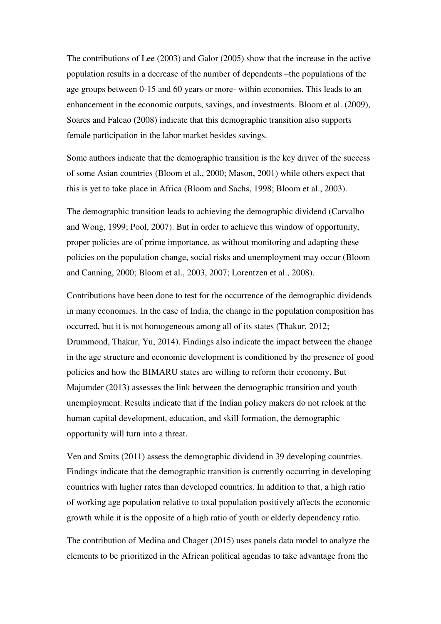The contributions of Lee (2003) and Galor (2005) show that the increase in the active population results in a decrease of the number of dependents –the populations of the age groups between 0-15 and 60 years or more- within economies. This leads to an enhancement in the economic outputs, savings, and investments. Bloom et al. (2009), Soares and Falcao (2008) indicate that this demographic transition also supports female participation in the labor market besides savings.

Some authors indicate that the demographic transition is the key driver of the success of some Asian countries (Bloom et al., 2000; Mason, 2001) while others expect that this is yet to take place in Africa (Bloom and Sachs, 1998; Bloom et al., 2003).

The demographic transition leads to achieving the demographic dividend (Carvalho and Wong, 1999; Pool, 2007). But in order to achieve this window of opportunity, proper policies are of prime importance, as without monitoring and adapting these policies on the population change, social risks and unemployment may occur (Bloom and Canning, 2000; Bloom et al., 2003, 2007; Lorentzen et al., 2008).

Contributions have been done to test for the occurrence of the demographic dividends in many economies. In the case of India, the change in the population composition has occurred, but it is not homogeneous among all of its states (Thakur, 2012; Drummond, Thakur, Yu, 2014). Findings also indicate the impact between the change in the age structure and economic development is conditioned by the presence of good policies and how the BIMARU states are willing to reform their economy. But Majumder (2013) assesses the link between the demographic transition and youth unemployment. Results indicate that if the Indian policy makers do not relook at the human capital development, education, and skill formation, the demographic opportunity will turn into a threat.

Ven and Smits (2011) assess the demographic dividend in 39 developing countries. Findings indicate that the demographic transition is currently occurring in developing countries with higher rates than developed countries. In addition to that, a high ratio of working age population relative to total population positively affects the economic growth while it is the opposite of a high ratio of youth or elderly dependency ratio.

The contribution of Medina and Chager (2015) uses panels data model to analyze the elements to be prioritized in the African political agendas to take advantage from the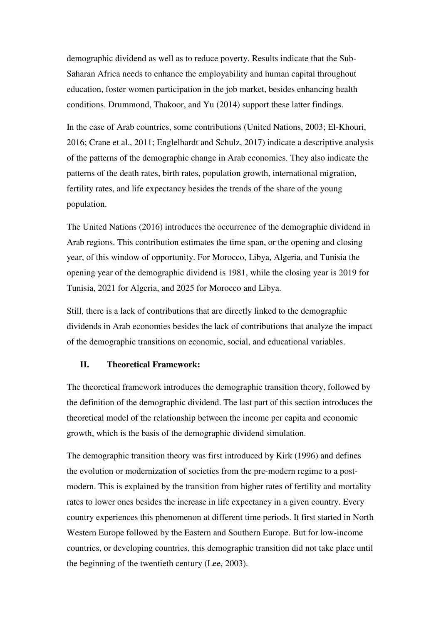demographic dividend as well as to reduce poverty. Results indicate that the Sub-Saharan Africa needs to enhance the employability and human capital throughout education, foster women participation in the job market, besides enhancing health conditions. Drummond, Thakoor, and Yu (2014) support these latter findings.

In the case of Arab countries, some contributions (United Nations, 2003; El-Khouri, 2016; Crane et al., 2011; Englelhardt and Schulz, 2017) indicate a descriptive analysis of the patterns of the demographic change in Arab economies. They also indicate the patterns of the death rates, birth rates, population growth, international migration, fertility rates, and life expectancy besides the trends of the share of the young population.

The United Nations (2016) introduces the occurrence of the demographic dividend in Arab regions. This contribution estimates the time span, or the opening and closing year, of this window of opportunity. For Morocco, Libya, Algeria, and Tunisia the opening year of the demographic dividend is 1981, while the closing year is 2019 for Tunisia, 2021 for Algeria, and 2025 for Morocco and Libya.

Still, there is a lack of contributions that are directly linked to the demographic dividends in Arab economies besides the lack of contributions that analyze the impact of the demographic transitions on economic, social, and educational variables.

#### **II. Theoretical Framework:**

The theoretical framework introduces the demographic transition theory, followed by the definition of the demographic dividend. The last part of this section introduces the theoretical model of the relationship between the income per capita and economic growth, which is the basis of the demographic dividend simulation.

The demographic transition theory was first introduced by Kirk (1996) and defines the evolution or modernization of societies from the pre-modern regime to a postmodern. This is explained by the transition from higher rates of fertility and mortality rates to lower ones besides the increase in life expectancy in a given country. Every country experiences this phenomenon at different time periods. It first started in North Western Europe followed by the Eastern and Southern Europe. But for low-income countries, or developing countries, this demographic transition did not take place until the beginning of the twentieth century (Lee, 2003).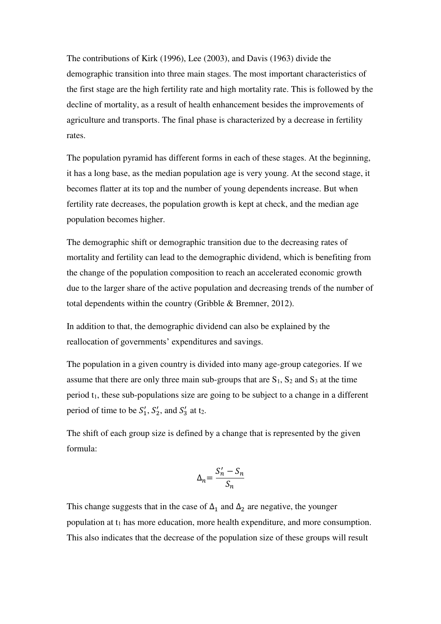The contributions of Kirk (1996), Lee (2003), and Davis (1963) divide the demographic transition into three main stages. The most important characteristics of the first stage are the high fertility rate and high mortality rate. This is followed by the decline of mortality, as a result of health enhancement besides the improvements of agriculture and transports. The final phase is characterized by a decrease in fertility rates.

The population pyramid has different forms in each of these stages. At the beginning, it has a long base, as the median population age is very young. At the second stage, it becomes flatter at its top and the number of young dependents increase. But when fertility rate decreases, the population growth is kept at check, and the median age population becomes higher.

The demographic shift or demographic transition due to the decreasing rates of mortality and fertility can lead to the demographic dividend, which is benefiting from the change of the population composition to reach an accelerated economic growth due to the larger share of the active population and decreasing trends of the number of total dependents within the country (Gribble & Bremner, 2012).

In addition to that, the demographic dividend can also be explained by the reallocation of governments' expenditures and savings.

The population in a given country is divided into many age-group categories. If we assume that there are only three main sub-groups that are  $S_1$ ,  $S_2$  and  $S_3$  at the time period  $t_1$ , these sub-populations size are going to be subject to a change in a different period of time to be  $S'_1$ ,  $S'_2$ , and  $S'_3$  at t<sub>2</sub>.

The shift of each group size is defined by a change that is represented by the given formula:

$$
\Delta_n = \frac{S'_n - S_n}{S_n}
$$

This change suggests that in the case of  $\Delta_1$  and  $\Delta_2$  are negative, the younger population at t<sub>1</sub> has more education, more health expenditure, and more consumption. This also indicates that the decrease of the population size of these groups will result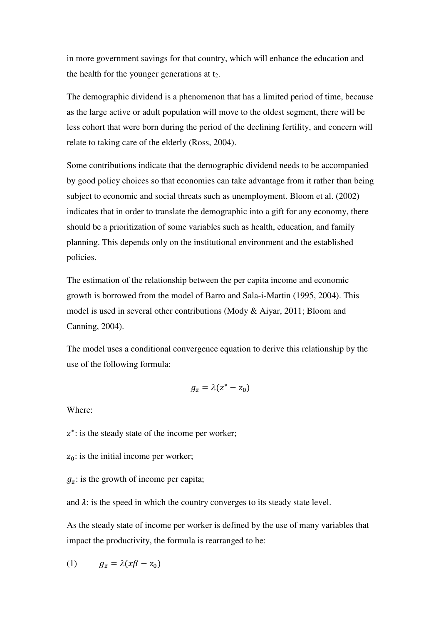in more government savings for that country, which will enhance the education and the health for the younger generations at  $t_2$ .

The demographic dividend is a phenomenon that has a limited period of time, because as the large active or adult population will move to the oldest segment, there will be less cohort that were born during the period of the declining fertility, and concern will relate to taking care of the elderly (Ross, 2004).

Some contributions indicate that the demographic dividend needs to be accompanied by good policy choices so that economies can take advantage from it rather than being subject to economic and social threats such as unemployment. Bloom et al. (2002) indicates that in order to translate the demographic into a gift for any economy, there should be a prioritization of some variables such as health, education, and family planning. This depends only on the institutional environment and the established policies.

The estimation of the relationship between the per capita income and economic growth is borrowed from the model of Barro and Sala-i-Martin (1995, 2004). This model is used in several other contributions (Mody & Aiyar, 2011; Bloom and Canning, 2004).

The model uses a conditional convergence equation to derive this relationship by the use of the following formula:

$$
g_z = \lambda (z^* - z_0)
$$

Where:

z<sup>\*</sup>: is the steady state of the income per worker;

 $z_0$ : is the initial income per worker;

 $g_z$ : is the growth of income per capita;

and  $\lambda$ : is the speed in which the country converges to its steady state level.

As the steady state of income per worker is defined by the use of many variables that impact the productivity, the formula is rearranged to be:

$$
(1) \t g_z = \lambda (x\beta - z_0)
$$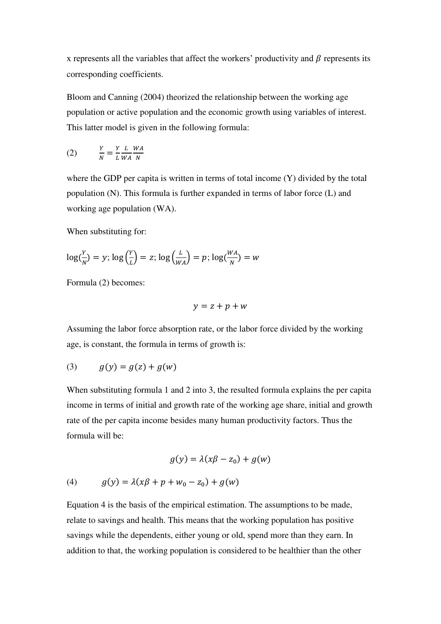x represents all the variables that affect the workers' productivity and  $\beta$  represents its corresponding coefficients.

Bloom and Canning (2004) theorized the relationship between the working age population or active population and the economic growth using variables of interest. This latter model is given in the following formula:

$$
(2) \qquad \frac{Y}{N} = \frac{Y}{L} \frac{L}{WA} \frac{WA}{N}
$$

where the GDP per capita is written in terms of total income (Y) divided by the total population (N). This formula is further expanded in terms of labor force (L) and working age population (WA).

When substituting for:

$$
\log\left(\frac{Y}{N}\right) = y; \log\left(\frac{Y}{L}\right) = z; \log\left(\frac{L}{WA}\right) = p; \log\left(\frac{WA}{N}\right) = w
$$

Formula (2) becomes:

$$
y = z + p + w
$$

Assuming the labor force absorption rate, or the labor force divided by the working age, is constant, the formula in terms of growth is:

$$
(3) \qquad g(y) = g(z) + g(w)
$$

When substituting formula 1 and 2 into 3, the resulted formula explains the per capita income in terms of initial and growth rate of the working age share, initial and growth rate of the per capita income besides many human productivity factors. Thus the formula will be:

$$
g(y) = \lambda(x\beta - z_0) + g(w)
$$

(4) 
$$
g(y) = \lambda(x\beta + p + w_0 - z_0) + g(w)
$$

Equation 4 is the basis of the empirical estimation. The assumptions to be made, relate to savings and health. This means that the working population has positive savings while the dependents, either young or old, spend more than they earn. In addition to that, the working population is considered to be healthier than the other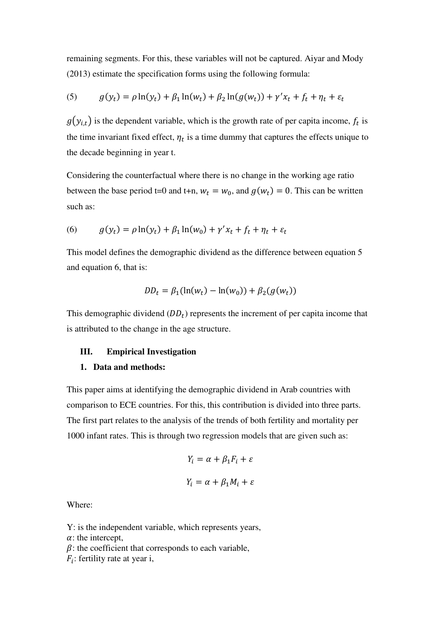remaining segments. For this, these variables will not be captured. Aiyar and Mody (2013) estimate the specification forms using the following formula:

(5) 
$$
g(y_t) = \rho \ln(y_t) + \beta_1 \ln(w_t) + \beta_2 \ln(g(w_t)) + \gamma' x_t + f_t + \eta_t + \varepsilon_t
$$

 $g(y_{i,t})$  is the dependent variable, which is the growth rate of per capita income,  $f_t$  is the time invariant fixed effect,  $\eta_t$  is a time dummy that captures the effects unique to the decade beginning in year t.

Considering the counterfactual where there is no change in the working age ratio between the base period t=0 and t+n,  $w_t = w_0$ , and  $g(w_t) = 0$ . This can be written such as:

(6) 
$$
g(y_t) = \rho \ln(y_t) + \beta_1 \ln(w_0) + \gamma' x_t + f_t + \eta_t + \varepsilon_t
$$

This model defines the demographic dividend as the difference between equation 5 and equation 6, that is:

$$
DD_t = \beta_1(\ln(w_t) - \ln(w_0)) + \beta_2(g(w_t))
$$

This demographic dividend  $(DD_t)$  represents the increment of per capita income that is attributed to the change in the age structure.

#### **III. Empirical Investigation**

#### **1. Data and methods:**

This paper aims at identifying the demographic dividend in Arab countries with comparison to ECE countries. For this, this contribution is divided into three parts. The first part relates to the analysis of the trends of both fertility and mortality per 1000 infant rates. This is through two regression models that are given such as:

$$
Y_i = \alpha + \beta_1 F_i + \varepsilon
$$

$$
Y_i = \alpha + \beta_1 M_i + \varepsilon
$$

Where:

Y: is the independent variable, which represents years,

 $\alpha$ : the intercept,

 $\beta$ : the coefficient that corresponds to each variable,

 $F_i$ : fertility rate at year i,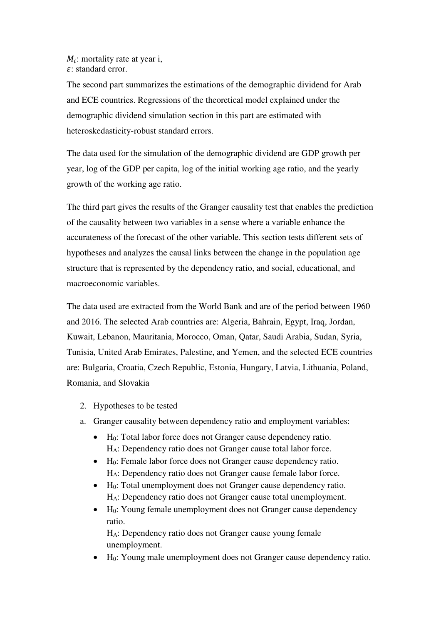$M_i$ : mortality rate at year i, : standard error.

The second part summarizes the estimations of the demographic dividend for Arab and ECE countries. Regressions of the theoretical model explained under the demographic dividend simulation section in this part are estimated with heteroskedasticity-robust standard errors.

The data used for the simulation of the demographic dividend are GDP growth per year, log of the GDP per capita, log of the initial working age ratio, and the yearly growth of the working age ratio.

The third part gives the results of the Granger causality test that enables the prediction of the causality between two variables in a sense where a variable enhance the accurateness of the forecast of the other variable. This section tests different sets of hypotheses and analyzes the causal links between the change in the population age structure that is represented by the dependency ratio, and social, educational, and macroeconomic variables.

The data used are extracted from the World Bank and are of the period between 1960 and 2016. The selected Arab countries are: Algeria, Bahrain, Egypt, Iraq, Jordan, Kuwait, Lebanon, Mauritania, Morocco, Oman, Qatar, Saudi Arabia, Sudan, Syria, Tunisia, United Arab Emirates, Palestine, and Yemen, and the selected ECE countries are: Bulgaria, Croatia, Czech Republic, Estonia, Hungary, Latvia, Lithuania, Poland, Romania, and Slovakia

- 2. Hypotheses to be tested
- a. Granger causality between dependency ratio and employment variables:
	- H0: Total labor force does not Granger cause dependency ratio. HA: Dependency ratio does not Granger cause total labor force.
	- H0: Female labor force does not Granger cause dependency ratio. HA: Dependency ratio does not Granger cause female labor force.
	- H0: Total unemployment does not Granger cause dependency ratio. HA: Dependency ratio does not Granger cause total unemployment.
	- H<sub>0</sub>: Young female unemployment does not Granger cause dependency ratio.

HA: Dependency ratio does not Granger cause young female unemployment.

H0: Young male unemployment does not Granger cause dependency ratio.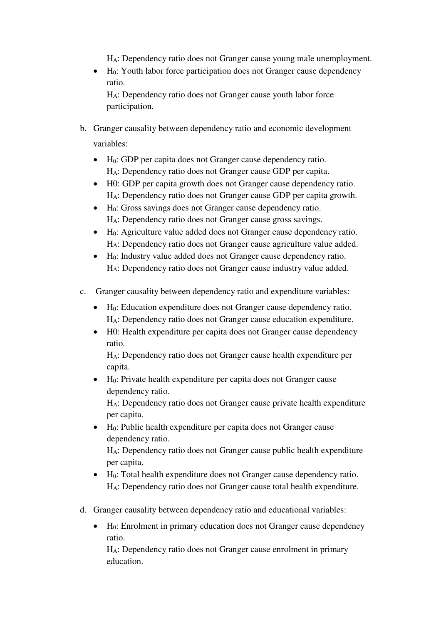HA: Dependency ratio does not Granger cause young male unemployment.

 $\bullet$  H<sub>0</sub>: Youth labor force participation does not Granger cause dependency ratio.

HA: Dependency ratio does not Granger cause youth labor force participation.

- b. Granger causality between dependency ratio and economic development variables:
	- H0: GDP per capita does not Granger cause dependency ratio. HA: Dependency ratio does not Granger cause GDP per capita.
	- H0: GDP per capita growth does not Granger cause dependency ratio. HA: Dependency ratio does not Granger cause GDP per capita growth.
	- H0: Gross savings does not Granger cause dependency ratio. HA: Dependency ratio does not Granger cause gross savings.
	- $\bullet$  H<sub>0</sub>: Agriculture value added does not Granger cause dependency ratio. HA: Dependency ratio does not Granger cause agriculture value added.
	- H0: Industry value added does not Granger cause dependency ratio. HA: Dependency ratio does not Granger cause industry value added.
- c. Granger causality between dependency ratio and expenditure variables:
	- H0: Education expenditure does not Granger cause dependency ratio. HA: Dependency ratio does not Granger cause education expenditure.
	- H0: Health expenditure per capita does not Granger cause dependency ratio.

HA: Dependency ratio does not Granger cause health expenditure per capita.

 H0: Private health expenditure per capita does not Granger cause dependency ratio.

HA: Dependency ratio does not Granger cause private health expenditure per capita.

 $\bullet$  H<sub>0</sub>: Public health expenditure per capita does not Granger cause dependency ratio.

HA: Dependency ratio does not Granger cause public health expenditure per capita.

- H0: Total health expenditure does not Granger cause dependency ratio. HA: Dependency ratio does not Granger cause total health expenditure.
- d. Granger causality between dependency ratio and educational variables:
	- H0: Enrolment in primary education does not Granger cause dependency ratio.

HA: Dependency ratio does not Granger cause enrolment in primary education.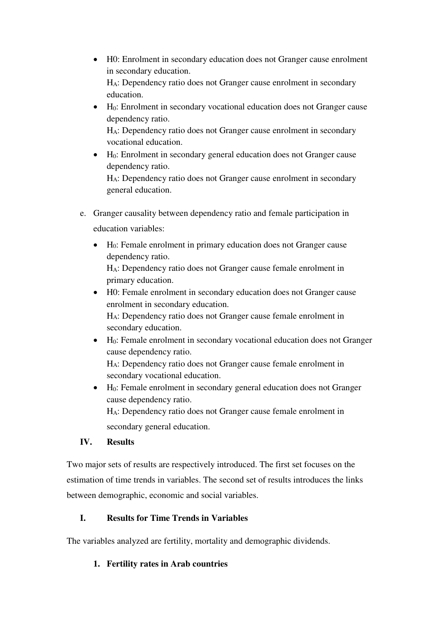- H0: Enrolment in secondary education does not Granger cause enrolment in secondary education. HA: Dependency ratio does not Granger cause enrolment in secondary education.
- $\bullet$  H<sub>0</sub>: Enrolment in secondary vocational education does not Granger cause dependency ratio. HA: Dependency ratio does not Granger cause enrolment in secondary
- vocational education. H0: Enrolment in secondary general education does not Granger cause dependency ratio.

HA: Dependency ratio does not Granger cause enrolment in secondary general education.

- e. Granger causality between dependency ratio and female participation in education variables:
	- H0: Female enrolment in primary education does not Granger cause dependency ratio.

HA: Dependency ratio does not Granger cause female enrolment in primary education.

 H0: Female enrolment in secondary education does not Granger cause enrolment in secondary education.

HA: Dependency ratio does not Granger cause female enrolment in secondary education.

 $\bullet$  H<sub>0</sub>: Female enrolment in secondary vocational education does not Granger cause dependency ratio. HA: Dependency ratio does not Granger cause female enrolment in

secondary vocational education.

 $\bullet$  H<sub>0</sub>: Female enrolment in secondary general education does not Granger cause dependency ratio. HA: Dependency ratio does not Granger cause female enrolment in

secondary general education.

# **IV. Results**

Two major sets of results are respectively introduced. The first set focuses on the estimation of time trends in variables. The second set of results introduces the links between demographic, economic and social variables.

# **I. Results for Time Trends in Variables**

The variables analyzed are fertility, mortality and demographic dividends.

# **1. Fertility rates in Arab countries**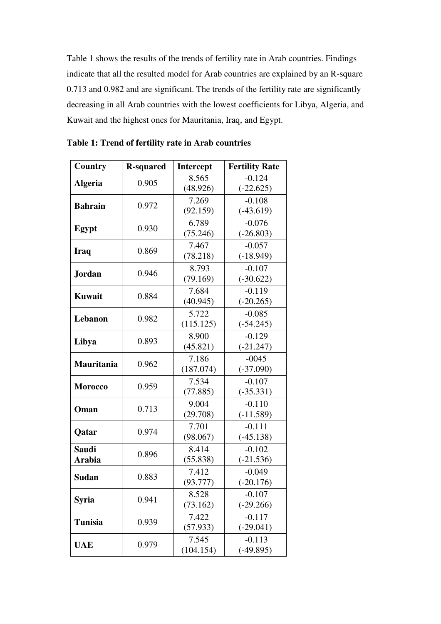Table 1 shows the results of the trends of fertility rate in Arab countries. Findings indicate that all the resulted model for Arab countries are explained by an R-square 0.713 and 0.982 and are significant. The trends of the fertility rate are significantly decreasing in all Arab countries with the lowest coefficients for Libya, Algeria, and Kuwait and the highest ones for Mauritania, Iraq, and Egypt.

| <b>Country</b>    | <b>R-squared</b> | <b>Intercept</b> | <b>Fertility Rate</b> |  |  |
|-------------------|------------------|------------------|-----------------------|--|--|
| <b>Algeria</b>    | 0.905            | 8.565            | $-0.124$              |  |  |
|                   |                  | (48.926)         | $(-22.625)$           |  |  |
| <b>Bahrain</b>    | 0.972            | 7.269            | $-0.108$              |  |  |
|                   |                  | (92.159)         | $(-43.619)$           |  |  |
|                   | 0.930            | 6.789            | $-0.076$              |  |  |
| Egypt             |                  | (75.246)         | $(-26.803)$           |  |  |
|                   | 0.869            | 7.467            | $-0.057$              |  |  |
| <b>Iraq</b>       |                  | (78.218)         | $(-18.949)$           |  |  |
| <b>Jordan</b>     | 0.946            | 8.793            | $-0.107$              |  |  |
|                   |                  | (79.169)         | $(-30.622)$           |  |  |
| <b>Kuwait</b>     | 0.884            | 7.684            | $-0.119$              |  |  |
|                   |                  | (40.945)         | $(-20.265)$           |  |  |
| Lebanon           | 0.982            | 5.722            | $-0.085$              |  |  |
|                   |                  | (115.125)        | $(-54.245)$           |  |  |
|                   | 0.893            | 8.900            | $-0.129$              |  |  |
| Libya             |                  | (45.821)         | $(-21.247)$           |  |  |
| <b>Mauritania</b> | 0.962            | 7.186            | $-0045$               |  |  |
|                   |                  | (187.074)        | $(-37.090)$           |  |  |
| <b>Morocco</b>    | 0.959            | 7.534            | $-0.107$              |  |  |
|                   |                  | (77.885)         | $(-35.331)$           |  |  |
| Oman              | 0.713            | 9.004            | $-0.110$              |  |  |
|                   |                  | (29.708)         | $(-11.589)$           |  |  |
| Qatar             | 0.974            | 7.701            | $-0.111$              |  |  |
|                   |                  | (98.067)         | $(-45.138)$           |  |  |
| <b>Saudi</b>      | 0.896            | 8.414            | $-0.102$              |  |  |
| <b>Arabia</b>     |                  | (55.838)         | $(-21.536)$           |  |  |
| <b>Sudan</b>      | 0.883            | 7.412            | $-0.049$              |  |  |
|                   |                  | (93.777)         | $(-20.176)$           |  |  |
| <b>Syria</b>      | 0.941            | 8.528            | $-0.107$              |  |  |
|                   |                  | (73.162)         | $(-29.266)$           |  |  |
| <b>Tunisia</b>    | 0.939            | 7.422            | $-0.117$              |  |  |
|                   |                  | (57.933)         | $(-29.041)$           |  |  |
| <b>UAE</b>        | 0.979            | 7.545            | $-0.113$              |  |  |
|                   |                  | (104.154)        | $(-49.895)$           |  |  |

**Table 1: Trend of fertility rate in Arab countries**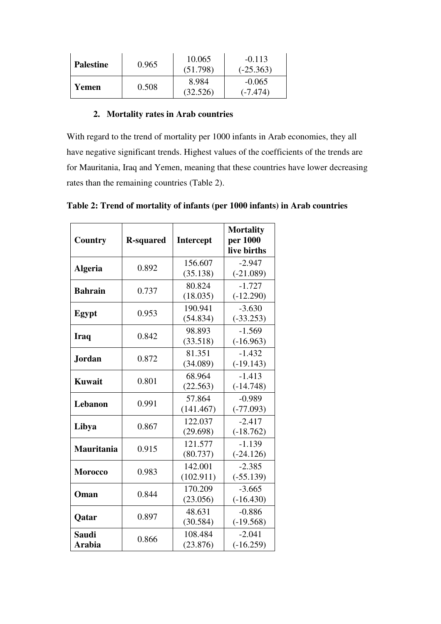| <b>Palestine</b> | 0.965 | 10.065<br>(51.798) | $-0.113$<br>$(-25.363)$ |
|------------------|-------|--------------------|-------------------------|
| Yemen            | 0.508 | 8.984<br>(32.526)  | $-0.065$<br>$(-7.474)$  |

#### **2. Mortality rates in Arab countries**

With regard to the trend of mortality per 1000 infants in Arab economies, they all have negative significant trends. Highest values of the coefficients of the trends are for Mauritania, Iraq and Yemen, meaning that these countries have lower decreasing rates than the remaining countries (Table 2).

| Country                | <b>R-squared</b> | Intercept            | <b>Mortality</b><br>per 1000<br>live births |
|------------------------|------------------|----------------------|---------------------------------------------|
| <b>Algeria</b>         | 0.892            | 156.607<br>(35.138)  | $-2.947$<br>$(-21.089)$                     |
| <b>Bahrain</b>         | 0.737            | 80.824<br>(18.035)   | $-1.727$<br>$(-12.290)$                     |
| Egypt                  | 0.953            | 190.941<br>(54.834)  | $-3.630$<br>$(-33.253)$                     |
| Iraq                   | 0.842            | 98.893<br>(33.518)   | $-1.569$<br>$(-16.963)$                     |
| <b>Jordan</b>          | 0.872            | 81.351<br>(34.089)   | $-1.432$<br>$(-19.143)$                     |
| <b>Kuwait</b>          | 0.801            | 68.964<br>(22.563)   | $-1.413$<br>$(-14.748)$                     |
| <b>Lebanon</b>         | 0.991            | 57.864<br>(141.467)  | $-0.989$<br>$(-77.093)$                     |
| Libya                  | 0.867            | 122.037<br>(29.698)  | $-2.417$<br>$(-18.762)$                     |
| <b>Mauritania</b>      | 0.915            | 121.577<br>(80.737)  | $-1.139$<br>$(-24.126)$                     |
| <b>Morocco</b>         | 0.983            | 142.001<br>(102.911) | $-2.385$<br>$(-55.139)$                     |
| Oman                   | 0.844            | 170.209<br>(23.056)  | $-3.665$<br>$(-16.430)$                     |
| Qatar                  | 0.897            | 48.631<br>(30.584)   | $-0.886$<br>$(-19.568)$                     |
| <b>Saudi</b><br>Arabia | 0.866            | 108.484<br>(23.876)  | $-2.041$<br>$(-16.259)$                     |

**Table 2: Trend of mortality of infants (per 1000 infants) in Arab countries**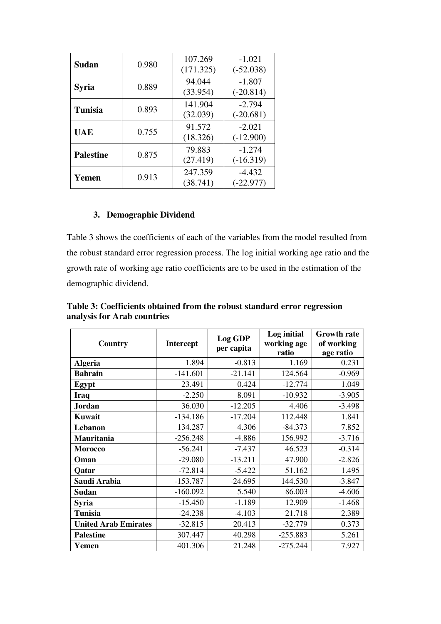| <b>Sudan</b>     | 0.980 | 107.269<br>(171.325) | $-1.021$<br>$(-52.038)$ |  |  |
|------------------|-------|----------------------|-------------------------|--|--|
| <b>Syria</b>     | 0.889 | 94.044<br>(33.954)   | $-1.807$<br>$(-20.814)$ |  |  |
| <b>Tunisia</b>   | 0.893 | 141.904<br>(32.039)  | $-2.794$<br>$(-20.681)$ |  |  |
| <b>UAE</b>       | 0.755 | 91.572<br>(18.326)   | $-2.021$<br>$(-12.900)$ |  |  |
| <b>Palestine</b> | 0.875 | 79.883<br>(27.419)   | $-1.274$<br>$(-16.319)$ |  |  |
| Yemen            | 0.913 | 247.359<br>(38.741)  | $-4.432$<br>$(-22.977)$ |  |  |

#### **3. Demographic Dividend**

Table 3 shows the coefficients of each of the variables from the model resulted from the robust standard error regression process. The log initial working age ratio and the growth rate of working age ratio coefficients are to be used in the estimation of the demographic dividend.

| Country                     | <b>Intercept</b> | Log GDP<br>per capita | Log initial<br>working age<br>ratio | <b>Growth rate</b><br>of working<br>age ratio |
|-----------------------------|------------------|-----------------------|-------------------------------------|-----------------------------------------------|
| <b>Algeria</b>              | 1.894            | $-0.813$              | 1.169                               | 0.231                                         |
| <b>Bahrain</b>              | $-141.601$       | $-21.141$             | 124.564                             | $-0.969$                                      |
| Egypt                       | 23.491           | 0.424                 | $-12.774$                           | 1.049                                         |
| <b>Iraq</b>                 | $-2.250$         | 8.091                 | $-10.932$                           | $-3.905$                                      |
| Jordan                      | 36.030           | $-12.205$             | 4.406                               | $-3.498$                                      |
| <b>Kuwait</b>               | $-134.186$       | $-17.204$             | 112.448                             | 1.841                                         |
| Lebanon                     | 134.287          | 4.306                 | $-84.373$                           | 7.852                                         |
| Mauritania                  | $-256.248$       | $-4.886$              | 156.992                             | $-3.716$                                      |
| <b>Morocco</b>              | $-56.241$        | $-7.437$              | 46.523                              | $-0.314$                                      |
| Oman                        | $-29.080$        | $-13.211$             | 47.900                              | $-2.826$                                      |
| Qatar                       | $-72.814$        | $-5.422$              | 51.162                              | 1.495                                         |
| Saudi Arabia                | $-153.787$       | $-24.695$             | 144.530                             | $-3.847$                                      |
| Sudan                       | $-160.092$       | 5.540                 | 86.003                              | $-4.606$                                      |
| <b>Syria</b>                | $-15.450$        | $-1.189$              | 12.909                              | $-1.468$                                      |
| <b>Tunisia</b>              | $-24.238$        | $-4.103$              | 21.718                              | 2.389                                         |
| <b>United Arab Emirates</b> | $-32.815$        | 20.413                | $-32.779$                           | 0.373                                         |
| <b>Palestine</b>            | 307.447          | 40.298                | $-255.883$                          | 5.261                                         |
| Yemen                       | 401.306          | 21.248                | $-275.244$                          | 7.927                                         |

**Table 3: Coefficients obtained from the robust standard error regression analysis for Arab countries**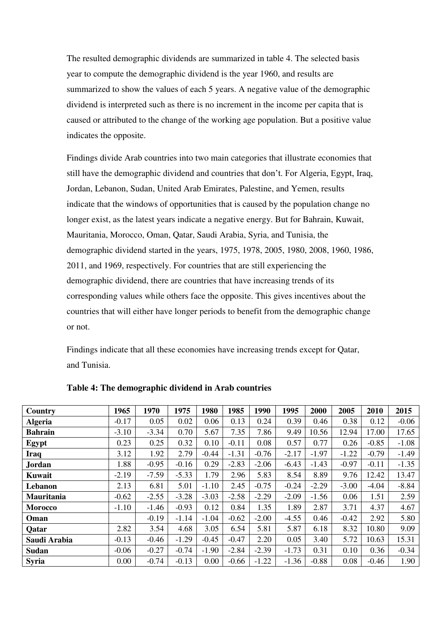The resulted demographic dividends are summarized in table 4. The selected basis year to compute the demographic dividend is the year 1960, and results are summarized to show the values of each 5 years. A negative value of the demographic dividend is interpreted such as there is no increment in the income per capita that is caused or attributed to the change of the working age population. But a positive value indicates the opposite.

Findings divide Arab countries into two main categories that illustrate economies that still have the demographic dividend and countries that don't. For Algeria, Egypt, Iraq, Jordan, Lebanon, Sudan, United Arab Emirates, Palestine, and Yemen, results indicate that the windows of opportunities that is caused by the population change no longer exist, as the latest years indicate a negative energy. But for Bahrain, Kuwait, Mauritania, Morocco, Oman, Qatar, Saudi Arabia, Syria, and Tunisia, the demographic dividend started in the years, 1975, 1978, 2005, 1980, 2008, 1960, 1986, 2011, and 1969, respectively. For countries that are still experiencing the demographic dividend, there are countries that have increasing trends of its corresponding values while others face the opposite. This gives incentives about the countries that will either have longer periods to benefit from the demographic change or not.

Findings indicate that all these economies have increasing trends except for Qatar, and Tunisia.

| Country        | 1965    | 1970    | 1975    | 1980    | 1985    | 1990    | 1995    | 2000    | 2005    | 2010    | 2015    |
|----------------|---------|---------|---------|---------|---------|---------|---------|---------|---------|---------|---------|
| <b>Algeria</b> | $-0.17$ | 0.05    | 0.02    | 0.06    | 0.13    | 0.24    | 0.39    | 0.46    | 0.38    | 0.12    | $-0.06$ |
| <b>Bahrain</b> | $-3.10$ | $-3.34$ | 0.70    | 5.67    | 7.35    | 7.86    | 9.49    | 10.56   | 12.94   | 17.00   | 17.65   |
| Egypt          | 0.23    | 0.25    | 0.32    | 0.10    | $-0.11$ | 0.08    | 0.57    | 0.77    | 0.26    | $-0.85$ | $-1.08$ |
| Iraq           | 3.12    | 1.92    | 2.79    | $-0.44$ | $-1.31$ | $-0.76$ | $-2.17$ | $-1.97$ | $-1.22$ | $-0.79$ | $-1.49$ |
| <b>Jordan</b>  | 1.88    | $-0.95$ | $-0.16$ | 0.29    | $-2.83$ | $-2.06$ | $-6.43$ | $-1.43$ | $-0.97$ | $-0.11$ | $-1.35$ |
| <b>Kuwait</b>  | $-2.19$ | $-7.59$ | $-5.33$ | 1.79    | 2.96    | 5.83    | 8.54    | 8.89    | 9.76    | 12.42   | 13.47   |
| Lebanon        | 2.13    | 6.81    | 5.01    | $-1.10$ | 2.45    | $-0.75$ | $-0.24$ | $-2.29$ | $-3.00$ | $-4.04$ | $-8.84$ |
| Mauritania     | $-0.62$ | $-2.55$ | $-3.28$ | $-3.03$ | $-2.58$ | $-2.29$ | $-2.09$ | $-1.56$ | 0.06    | 1.51    | 2.59    |
| <b>Morocco</b> | $-1.10$ | $-1.46$ | $-0.93$ | 0.12    | 0.84    | 1.35    | 1.89    | 2.87    | 3.71    | 4.37    | 4.67    |
| Oman           |         | $-0.19$ | $-1.14$ | $-1.04$ | $-0.62$ | $-2.00$ | $-4.55$ | 0.46    | $-0.42$ | 2.92    | 5.80    |
| Qatar          | 2.82    | 3.54    | 4.68    | 3.05    | 6.54    | 5.81    | 5.87    | 6.18    | 8.32    | 10.80   | 9.09    |
| Saudi Arabia   | $-0.13$ | $-0.46$ | $-1.29$ | $-0.45$ | $-0.47$ | 2.20    | 0.05    | 3.40    | 5.72    | 10.63   | 15.31   |
| <b>Sudan</b>   | $-0.06$ | $-0.27$ | $-0.74$ | $-1.90$ | $-2.84$ | $-2.39$ | $-1.73$ | 0.31    | 0.10    | 0.36    | $-0.34$ |
| <b>Syria</b>   | 0.00    | $-0.74$ | $-0.13$ | 0.00    | $-0.66$ | $-1.22$ | $-1.36$ | $-0.88$ | 0.08    | $-0.46$ | 1.90    |

**Table 4: The demographic dividend in Arab countries**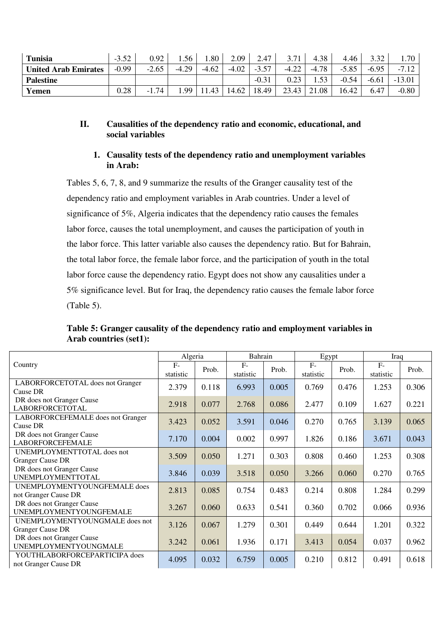| Tunisia                     | $-3.52$ | 0.92           | 1.56      | 1.80    | 2.09    | 2.47           | 3.71    | 4.38    | 4.46    | 3.32    | 1.70     |
|-----------------------------|---------|----------------|-----------|---------|---------|----------------|---------|---------|---------|---------|----------|
| <b>United Arab Emirates</b> | $-0.99$ | $-2.65$        | $-4.29$   | $-4.62$ | $-4.02$ | $-3.57$        | $-4.22$ | $-4.78$ | $-5.85$ | $-6.95$ | $-7.12$  |
| <b>Palestine</b>            |         |                |           |         |         | $-0.3^{\circ}$ | 0.23    | 53      | $-0.54$ | $-6.61$ | $-13.01$ |
| Yemen                       | 0.28    | l.74<br>$-1.7$ | <b>QQ</b> | 1.43    | 14.62   | 18.49          | 23.43   | 21.08   | 16.42   | 6.47    | $-0.80$  |

#### **II. Causalities of the dependency ratio and economic, educational, and social variables**

#### **1. Causality tests of the dependency ratio and unemployment variables in Arab:**

Tables 5, 6, 7, 8, and 9 summarize the results of the Granger causality test of the dependency ratio and employment variables in Arab countries. Under a level of significance of 5%, Algeria indicates that the dependency ratio causes the females labor force, causes the total unemployment, and causes the participation of youth in the labor force. This latter variable also causes the dependency ratio. But for Bahrain, the total labor force, the female labor force, and the participation of youth in the total labor force cause the dependency ratio. Egypt does not show any causalities under a 5% significance level. But for Iraq, the dependency ratio causes the female labor force (Table 5).

**Table 5: Granger causality of the dependency ratio and employment variables in Arab countries (set1):**

|                                                           | Algeria           |       | Bahrain           |       | Egypt              |       | Iraq              |       |
|-----------------------------------------------------------|-------------------|-------|-------------------|-------|--------------------|-------|-------------------|-------|
| Country                                                   | $F-$<br>statistic | Prob. | $F-$<br>statistic | Prob. | $F -$<br>statistic | Prob. | $F-$<br>statistic | Prob. |
| LABORFORCETOTAL does not Granger<br>Cause DR              | 2.379             | 0.118 | 6.993             | 0.005 | 0.769              | 0.476 | 1.253             | 0.306 |
| DR does not Granger Cause<br><b>LABORFORCETOTAL</b>       | 2.918             | 0.077 | 2.768             | 0.086 | 2.477              | 0.109 | 1.627             | 0.221 |
| LABORFORCEFEMALE does not Granger<br>Cause DR             | 3.423             | 0.052 | 3.591             | 0.046 | 0.270              | 0.765 | 3.139             | 0.065 |
| DR does not Granger Cause<br><b>LABORFORCEFEMALE</b>      | 7.170             | 0.004 | 0.002             | 0.997 | 1.826              | 0.186 | 3.671             | 0.043 |
| UNEMPLOYMENTTOTAL does not<br><b>Granger Cause DR</b>     | 3.509             | 0.050 | 1.271             | 0.303 | 0.808              | 0.460 | 1.253             | 0.308 |
| DR does not Granger Cause<br><b>UNEMPLOYMENTTOTAL</b>     | 3.846             | 0.039 | 3.518             | 0.050 | 3.266              | 0.060 | 0.270             | 0.765 |
| UNEMPLOYMENTYOUNGFEMALE does<br>not Granger Cause DR      | 2.813             | 0.085 | 0.754             | 0.483 | 0.214              | 0.808 | 1.284             | 0.299 |
| DR does not Granger Cause<br>UNEMPLOYMENTYOUNGFEMALE      | 3.267             | 0.060 | 0.633             | 0.541 | 0.360              | 0.702 | 0.066             | 0.936 |
| UNEMPLOYMENTYOUNGMALE does not<br><b>Granger Cause DR</b> | 3.126             | 0.067 | 1.279             | 0.301 | 0.449              | 0.644 | 1.201             | 0.322 |
| DR does not Granger Cause<br>UNEMPLOYMENTYOUNGMALE        | 3.242             | 0.061 | 1.936             | 0.171 | 3.413              | 0.054 | 0.037             | 0.962 |
| YOUTHLABORFORCEPARTICIPA does<br>not Granger Cause DR     | 4.095             | 0.032 | 6.759             | 0.005 | 0.210              | 0.812 | 0.491             | 0.618 |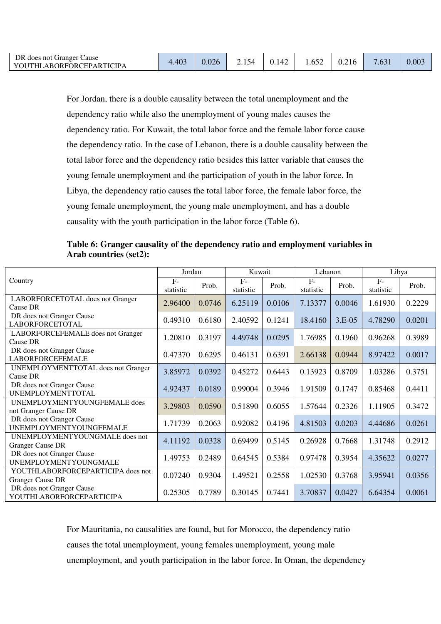For Jordan, there is a double causality between the total unemployment and the dependency ratio while also the unemployment of young males causes the dependency ratio. For Kuwait, the total labor force and the female labor force cause the dependency ratio. In the case of Lebanon, there is a double causality between the total labor force and the dependency ratio besides this latter variable that causes the young female unemployment and the participation of youth in the labor force. In Libya, the dependency ratio causes the total labor force, the female labor force, the young female unemployment, the young male unemployment, and has a double causality with the youth participation in the labor force (Table 6).

**Table 6: Granger causality of the dependency ratio and employment variables in Arab countries (set2):** 

|                                                              | Jordan             |        | Kuwait            |        | Lebanon           |          | Libya             |        |
|--------------------------------------------------------------|--------------------|--------|-------------------|--------|-------------------|----------|-------------------|--------|
| Country                                                      | $F -$<br>statistic | Prob.  | $F-$<br>statistic | Prob.  | $F-$<br>statistic | Prob.    | $F-$<br>statistic | Prob.  |
| LABORFORCETOTAL does not Granger<br>Cause DR                 | 2.96400            | 0.0746 | 6.25119           | 0.0106 | 7.13377           | 0.0046   | 1.61930           | 0.2229 |
| DR does not Granger Cause<br><b>LABORFORCETOTAL</b>          | 0.49310            | 0.6180 | 2.40592           | 0.1241 | 18.4160           | $3.E-05$ | 4.78290           | 0.0201 |
| LABORFORCEFEMALE does not Granger<br>Cause DR                | 1.20810            | 0.3197 | 4.49748           | 0.0295 | 1.76985           | 0.1960   | 0.96268           | 0.3989 |
| DR does not Granger Cause<br><b>LABORFORCEFEMALE</b>         | 0.47370            | 0.6295 | 0.46131           | 0.6391 | 2.66138           | 0.0944   | 8.97422           | 0.0017 |
| <b>UNEMPLOYMENTTOTAL</b> does not Granger<br>Cause DR        | 3.85972            | 0.0392 | 0.45272           | 0.6443 | 0.13923           | 0.8709   | 1.03286           | 0.3751 |
| DR does not Granger Cause<br>UNEMPLOYMENTTOTAL               | 4.92437            | 0.0189 | 0.99004           | 0.3946 | 1.91509           | 0.1747   | 0.85468           | 0.4411 |
| UNEMPLOYMENTYOUNGFEMALE does<br>not Granger Cause DR         | 3.29803            | 0.0590 | 0.51890           | 0.6055 | 1.57644           | 0.2326   | 1.11905           | 0.3472 |
| DR does not Granger Cause<br>UNEMPLOYMENTYOUNGFEMALE         | 1.71739            | 0.2063 | 0.92082           | 0.4196 | 4.81503           | 0.0203   | 4.44686           | 0.0261 |
| UNEMPLOYMENTYOUNGMALE does not<br><b>Granger Cause DR</b>    | 4.11192            | 0.0328 | 0.69499           | 0.5145 | 0.26928           | 0.7668   | 1.31748           | 0.2912 |
| DR does not Granger Cause<br>UNEMPLOYMENTYOUNGMALE           | 1.49753            | 0.2489 | 0.64545           | 0.5384 | 0.97478           | 0.3954   | 4.35622           | 0.0277 |
| YOUTHLABORFORCEPARTICIPA does not<br><b>Granger Cause DR</b> | 0.07240            | 0.9304 | 1.49521           | 0.2558 | 1.02530           | 0.3768   | 3.95941           | 0.0356 |
| DR does not Granger Cause<br>YOUTHLABORFORCEPARTICIPA        | 0.25305            | 0.7789 | 0.30145           | 0.7441 | 3.70837           | 0.0427   | 6.64354           | 0.0061 |

For Mauritania, no causalities are found, but for Morocco, the dependency ratio

causes the total unemployment, young females unemployment, young male

unemployment, and youth participation in the labor force. In Oman, the dependency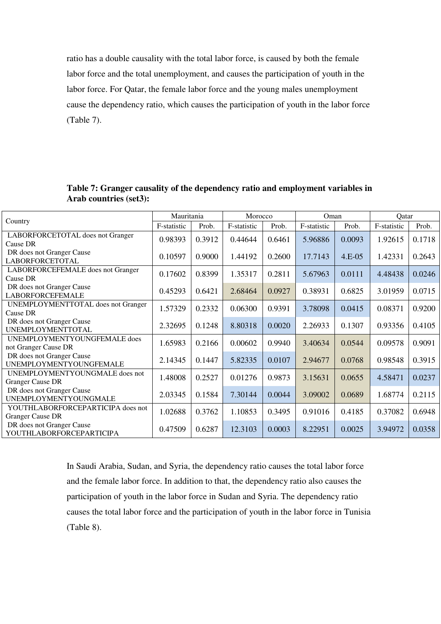ratio has a double causality with the total labor force, is caused by both the female labor force and the total unemployment, and causes the participation of youth in the labor force. For Qatar, the female labor force and the young males unemployment cause the dependency ratio, which causes the participation of youth in the labor force (Table 7).

| Country                                   | Mauritania  |        | Morocco     |        | Oman        |          | Qatar       |        |
|-------------------------------------------|-------------|--------|-------------|--------|-------------|----------|-------------|--------|
|                                           | F-statistic | Prob.  | F-statistic | Prob.  | F-statistic | Prob.    | F-statistic | Prob.  |
| LABORFORCETOTAL does not Granger          | 0.98393     | 0.3912 | 0.44644     | 0.6461 | 5.96886     | 0.0093   | 1.92615     | 0.1718 |
| Cause DR                                  |             |        |             |        |             |          |             |        |
| DR does not Granger Cause                 | 0.10597     | 0.9000 | 1.44192     | 0.2600 | 17.7143     | $4.E-05$ | 1.42331     | 0.2643 |
| <b>LABORFORCETOTAL</b>                    |             |        |             |        |             |          |             |        |
| LABORFORCEFEMALE does not Granger         | 0.17602     | 0.8399 | 1.35317     | 0.2811 | 5.67963     | 0.0111   | 4.48438     | 0.0246 |
| Cause DR                                  |             |        |             |        |             |          |             |        |
| DR does not Granger Cause                 | 0.45293     | 0.6421 | 2.68464     | 0.0927 | 0.38931     | 0.6825   | 3.01959     | 0.0715 |
| <b>LABORFORCEFEMALE</b>                   |             |        |             |        |             |          |             |        |
| <b>UNEMPLOYMENTTOTAL</b> does not Granger | 1.57329     | 0.2332 | 0.06300     | 0.9391 | 3.78098     | 0.0415   | 0.08371     | 0.9200 |
| Cause DR                                  |             |        |             |        |             |          |             |        |
| DR does not Granger Cause                 | 2.32695     | 0.1248 | 8.80318     | 0.0020 | 2.26933     | 0.1307   | 0.93356     | 0.4105 |
| <b>UNEMPLOYMENTTOTAL</b>                  |             |        |             |        |             |          |             |        |
| UNEMPLOYMENTYOUNGFEMALE does              | 1.65983     | 0.2166 | 0.00602     | 0.9940 | 3.40634     | 0.0544   | 0.09578     | 0.9091 |
| not Granger Cause DR                      |             |        |             |        |             |          |             |        |
| DR does not Granger Cause                 | 2.14345     | 0.1447 | 5.82335     | 0.0107 | 2.94677     | 0.0768   | 0.98548     | 0.3915 |
| UNEMPLOYMENTYOUNGFEMALE                   |             |        |             |        |             |          |             |        |
| UNEMPLOYMENTYOUNGMALE does not            | 1.48008     | 0.2527 | 0.01276     | 0.9873 | 3.15631     | 0.0655   | 4.58471     | 0.0237 |
| <b>Granger Cause DR</b>                   |             |        |             |        |             |          |             |        |
| DR does not Granger Cause                 | 2.03345     | 0.1584 | 7.30144     | 0.0044 | 3.09002     | 0.0689   | 1.68774     | 0.2115 |
| UNEMPLOYMENTYOUNGMALE                     |             |        |             |        |             |          |             |        |
| YOUTHLABORFORCEPARTICIPA does not         | 1.02688     | 0.3762 | 1.10853     | 0.3495 | 0.91016     | 0.4185   | 0.37082     | 0.6948 |
| <b>Granger Cause DR</b>                   |             |        |             |        |             |          |             |        |
| DR does not Granger Cause                 | 0.47509     | 0.6287 | 12.3103     | 0.0003 | 8.22951     | 0.0025   | 3.94972     | 0.0358 |
| YOUTHLABORFORCEPARTICIPA                  |             |        |             |        |             |          |             |        |

**Table 7: Granger causality of the dependency ratio and employment variables in Arab countries (set3):** 

In Saudi Arabia, Sudan, and Syria, the dependency ratio causes the total labor force and the female labor force. In addition to that, the dependency ratio also causes the participation of youth in the labor force in Sudan and Syria. The dependency ratio causes the total labor force and the participation of youth in the labor force in Tunisia (Table 8).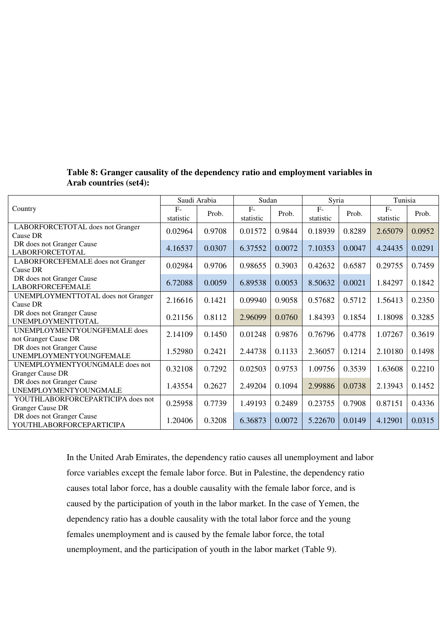|                                                              |                   | Saudi Arabia | Sudan             |        | Syria             |        | Tunisia           |        |
|--------------------------------------------------------------|-------------------|--------------|-------------------|--------|-------------------|--------|-------------------|--------|
| Country                                                      | $F-$<br>statistic | Prob.        | $F-$<br>statistic | Prob.  | $F-$<br>statistic | Prob.  | $F-$<br>statistic | Prob.  |
| LABORFORCETOTAL does not Granger<br>Cause DR                 | 0.02964           | 0.9708       | 0.01572           | 0.9844 | 0.18939           | 0.8289 | 2.65079           | 0.0952 |
| DR does not Granger Cause<br><b>LABORFORCETOTAL</b>          | 4.16537           | 0.0307       | 6.37552           | 0.0072 | 7.10353           | 0.0047 | 4.24435           | 0.0291 |
| LABORFORCEFEMALE does not Granger<br>Cause DR                | 0.02984           | 0.9706       | 0.98655           | 0.3903 | 0.42632           | 0.6587 | 0.29755           | 0.7459 |
| DR does not Granger Cause<br><b>LABORFORCEFEMALE</b>         | 6.72088           | 0.0059       | 6.89538           | 0.0053 | 8.50632           | 0.0021 | 1.84297           | 0.1842 |
| UNEMPLOYMENTTOTAL does not Granger<br>Cause DR               | 2.16616           | 0.1421       | 0.09940           | 0.9058 | 0.57682           | 0.5712 | 1.56413           | 0.2350 |
| DR does not Granger Cause<br><b>UNEMPLOYMENTTOTAL</b>        | 0.21156           | 0.8112       | 2.96099           | 0.0760 | 1.84393           | 0.1854 | 1.18098           | 0.3285 |
| UNEMPLOYMENTYOUNGFEMALE does<br>not Granger Cause DR         | 2.14109           | 0.1450       | 0.01248           | 0.9876 | 0.76796           | 0.4778 | 1.07267           | 0.3619 |
| DR does not Granger Cause<br>UNEMPLOYMENTYOUNGFEMALE         | 1.52980           | 0.2421       | 2.44738           | 0.1133 | 2.36057           | 0.1214 | 2.10180           | 0.1498 |
| UNEMPLOYMENTYOUNGMALE does not<br><b>Granger Cause DR</b>    | 0.32108           | 0.7292       | 0.02503           | 0.9753 | 1.09756           | 0.3539 | 1.63608           | 0.2210 |
| DR does not Granger Cause<br>UNEMPLOYMENTYOUNGMALE           | 1.43554           | 0.2627       | 2.49204           | 0.1094 | 2.99886           | 0.0738 | 2.13943           | 0.1452 |
| YOUTHLABORFORCEPARTICIPA does not<br><b>Granger Cause DR</b> | 0.25958           | 0.7739       | 1.49193           | 0.2489 | 0.23755           | 0.7908 | 0.87151           | 0.4336 |
| DR does not Granger Cause<br>YOUTHLABORFORCEPARTICIPA        | 1.20406           | 0.3208       | 6.36873           | 0.0072 | 5.22670           | 0.0149 | 4.12901           | 0.0315 |

### **Table 8: Granger causality of the dependency ratio and employment variables in Arab countries (set4):**

In the United Arab Emirates, the dependency ratio causes all unemployment and labor force variables except the female labor force. But in Palestine, the dependency ratio causes total labor force, has a double causality with the female labor force, and is caused by the participation of youth in the labor market. In the case of Yemen, the dependency ratio has a double causality with the total labor force and the young females unemployment and is caused by the female labor force, the total unemployment, and the participation of youth in the labor market (Table 9).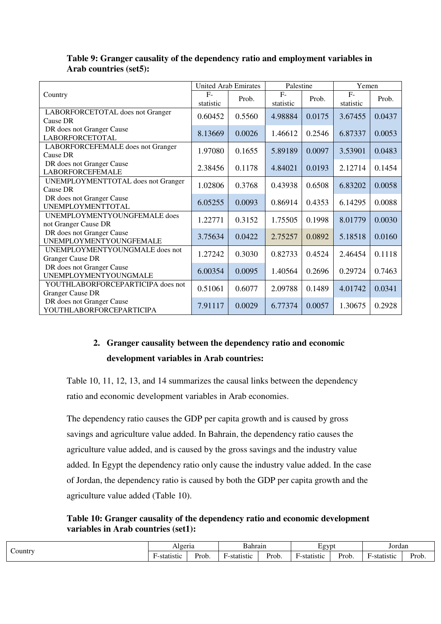|                                                              | <b>United Arab Emirates</b> |        | Palestine         |        | Yemen             |        |
|--------------------------------------------------------------|-----------------------------|--------|-------------------|--------|-------------------|--------|
| Country                                                      | $F-$<br>statistic           | Prob.  | $F-$<br>statistic | Prob.  | $F-$<br>statistic | Prob.  |
| LABORFORCETOTAL does not Granger<br>Cause DR                 | 0.60452                     | 0.5560 | 4.98884           | 0.0175 | 3.67455           | 0.0437 |
| DR does not Granger Cause<br><b>LABORFORCETOTAL</b>          | 8.13669                     | 0.0026 | 1.46612           | 0.2546 | 6.87337           | 0.0053 |
| LABORFORCEFEMALE does not Granger<br>Cause DR                | 1.97080                     | 0.1655 | 5.89189           | 0.0097 | 3.53901           | 0.0483 |
| DR does not Granger Cause<br><b>LABORFORCEFEMALE</b>         | 2.38456                     | 0.1178 | 4.84021           | 0.0193 | 2.12714           | 0.1454 |
| <b>UNEMPLOYMENTTOTAL</b> does not Granger<br>Cause DR        | 1.02806                     | 0.3768 | 0.43938           | 0.6508 | 6.83202           | 0.0058 |
| DR does not Granger Cause<br><b>UNEMPLOYMENTTOTAL</b>        | 6.05255                     | 0.0093 | 0.86914           | 0.4353 | 6.14295           | 0.0088 |
| UNEMPLOYMENTYOUNGFEMALE does<br>not Granger Cause DR         | 1.22771                     | 0.3152 | 1.75505           | 0.1998 | 8.01779           | 0.0030 |
| DR does not Granger Cause<br>UNEMPLOYMENTYOUNGFEMALE         | 3.75634                     | 0.0422 | 2.75257           | 0.0892 | 5.18518           | 0.0160 |
| UNEMPLOYMENTYOUNGMALE does not<br><b>Granger Cause DR</b>    | 1.27242                     | 0.3030 | 0.82733           | 0.4524 | 2.46454           | 0.1118 |
| DR does not Granger Cause<br>UNEMPLOYMENTYOUNGMALE           | 6.00354                     | 0.0095 | 1.40564           | 0.2696 | 0.29724           | 0.7463 |
| YOUTHLABORFORCEPARTICIPA does not<br><b>Granger Cause DR</b> | 0.51061                     | 0.6077 | 2.09788           | 0.1489 | 4.01742           | 0.0341 |
| DR does not Granger Cause<br>YOUTHLABORFORCEPARTICIPA        | 7.91117                     | 0.0029 | 6.77374           | 0.0057 | 1.30675           | 0.2928 |

## **Table 9: Granger causality of the dependency ratio and employment variables in Arab countries (set5):**

# **2. Granger causality between the dependency ratio and economic development variables in Arab countries:**

Table 10, 11, 12, 13, and 14 summarizes the causal links between the dependency ratio and economic development variables in Arab economies.

The dependency ratio causes the GDP per capita growth and is caused by gross savings and agriculture value added. In Bahrain, the dependency ratio causes the agriculture value added, and is caused by the gross savings and the industry value added. In Egypt the dependency ratio only cause the industry value added. In the case of Jordan, the dependency ratio is caused by both the GDP per capita growth and the agriculture value added (Table 10).

**Table 10: Granger causality of the dependency ratio and economic development variables in Arab countries (set1):** 

| $\sim$       | Algeria                                    |  | hrair                 |                     | <b>g</b> vn<br><u>. </u> |       | Jordan       |       |
|--------------|--------------------------------------------|--|-----------------------|---------------------|--------------------------|-------|--------------|-------|
| $\sim$ ountr | $\mathbf{r}$<br>Yrob.<br>etotieti<br>-stai |  | $\sim$<br>∺-statistic | -<br>$P_{\rm rob.}$ | $\sim$<br>. -statistic   | Prob. | . -statistic | Prob. |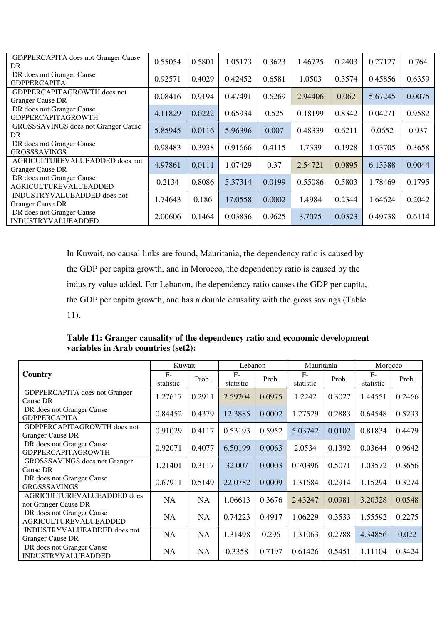| <b>GDPPERCAPITA</b> does not Granger Cause<br>DR.             | 0.55054 | 0.5801 | 1.05173 | 0.3623 | 1.46725 | 0.2403 | 0.27127 | 0.764  |
|---------------------------------------------------------------|---------|--------|---------|--------|---------|--------|---------|--------|
| DR does not Granger Cause<br><b>GDPPERCAPITA</b>              | 0.92571 | 0.4029 | 0.42452 | 0.6581 | 1.0503  | 0.3574 | 0.45856 | 0.6359 |
| <b>GDPPERCAPITAGROWTH</b> does not<br><b>Granger Cause DR</b> | 0.08416 | 0.9194 | 0.47491 | 0.6269 | 2.94406 | 0.062  | 5.67245 | 0.0075 |
| DR does not Granger Cause<br><b>GDPPERCAPITAGROWTH</b>        | 4.11829 | 0.0222 | 0.65934 | 0.525  | 0.18199 | 0.8342 | 0.04271 | 0.9582 |
| <b>GROSSSAVINGS</b> does not Granger Cause<br>DR.             | 5.85945 | 0.0116 | 5.96396 | 0.007  | 0.48339 | 0.6211 | 0.0652  | 0.937  |
| DR does not Granger Cause<br><b>GROSSSAVINGS</b>              | 0.98483 | 0.3938 | 0.91666 | 0.4115 | 1.7339  | 0.1928 | 1.03705 | 0.3658 |
| AGRICULTUREVALUEADDED does not<br><b>Granger Cause DR</b>     | 4.97861 | 0.0111 | 1.07429 | 0.37   | 2.54721 | 0.0895 | 6.13388 | 0.0044 |
| DR does not Granger Cause<br><b>AGRICULTUREVALUEADDED</b>     | 0.2134  | 0.8086 | 5.37314 | 0.0199 | 0.55086 | 0.5803 | 1.78469 | 0.1795 |
| INDUSTRYVALUEADDED does not<br><b>Granger Cause DR</b>        | 1.74643 | 0.186  | 17.0558 | 0.0002 | 1.4984  | 0.2344 | 1.64624 | 0.2042 |
| DR does not Granger Cause<br><b>INDUSTRYVALUEADDED</b>        | 2.00606 | 0.1464 | 0.03836 | 0.9625 | 3.7075  | 0.0323 | 0.49738 | 0.6114 |

In Kuwait, no causal links are found, Mauritania, the dependency ratio is caused by the GDP per capita growth, and in Morocco, the dependency ratio is caused by the industry value added. For Lebanon, the dependency ratio causes the GDP per capita, the GDP per capita growth, and has a double causality with the gross savings (Table 11).

**Table 11: Granger causality of the dependency ratio and economic development variables in Arab countries (set2):** 

|                                                           | Kuwait            |           | Lebanon           |        | Mauritania        |        | Morocco           |        |
|-----------------------------------------------------------|-------------------|-----------|-------------------|--------|-------------------|--------|-------------------|--------|
| Country                                                   | $F-$<br>statistic | Prob.     | $F-$<br>statistic | Prob.  | $F-$<br>statistic | Prob.  | $F-$<br>statistic | Prob.  |
| GDPPERCAPITA does not Granger<br>Cause DR                 | 1.27617           | 0.2911    | 2.59204           | 0.0975 | 1.2242            | 0.3027 | 1.44551           | 0.2466 |
| DR does not Granger Cause<br><b>GDPPERCAPITA</b>          | 0.84452           | 0.4379    | 12.3885           | 0.0002 | 1.27529           | 0.2883 | 0.64548           | 0.5293 |
| GDPPERCAPITAGROWTH does not<br><b>Granger Cause DR</b>    | 0.91029           | 0.4117    | 0.53193           | 0.5952 | 5.03742           | 0.0102 | 0.81834           | 0.4479 |
| DR does not Granger Cause<br><b>GDPPERCAPITAGROWTH</b>    | 0.92071           | 0.4077    | 6.50199           | 0.0063 | 2.0534            | 0.1392 | 0.03644           | 0.9642 |
| GROSSSAVINGS does not Granger<br>Cause DR                 | 1.21401           | 0.3117    | 32.007            | 0.0003 | 0.70396           | 0.5071 | 1.03572           | 0.3656 |
| DR does not Granger Cause<br><b>GROSSSAVINGS</b>          | 0.67911           | 0.5149    | 22.0782           | 0.0009 | 1.31684           | 0.2914 | 1.15294           | 0.3274 |
| AGRICULTUREVALUEADDED does<br>not Granger Cause DR        | <b>NA</b>         | <b>NA</b> | 1.06613           | 0.3676 | 2.43247           | 0.0981 | 3.20328           | 0.0548 |
| DR does not Granger Cause<br><b>AGRICULTUREVALUEADDED</b> | <b>NA</b>         | <b>NA</b> | 0.74223           | 0.4917 | 1.06229           | 0.3533 | 1.55592           | 0.2275 |
| INDUSTRYVALUEADDED does not<br><b>Granger Cause DR</b>    | <b>NA</b>         | <b>NA</b> | 1.31498           | 0.296  | 1.31063           | 0.2788 | 4.34856           | 0.022  |
| DR does not Granger Cause<br><b>INDUSTRYVALUEADDED</b>    | NA                | <b>NA</b> | 0.3358            | 0.7197 | 0.61426           | 0.5451 | 1.11104           | 0.3424 |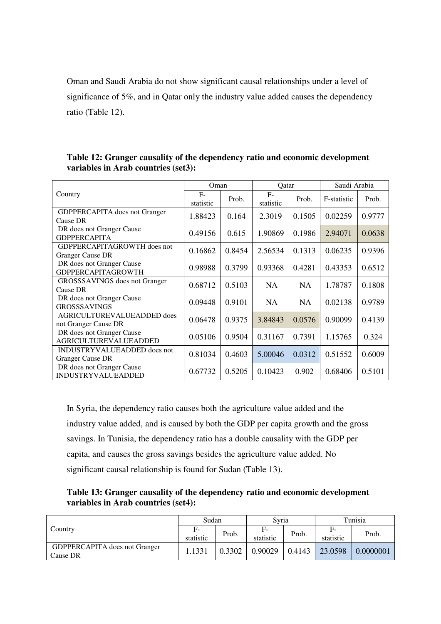Oman and Saudi Arabia do not show significant causal relationships under a level of significance of 5%, and in Qatar only the industry value added causes the dependency ratio (Table 12).

|                                                           | Oman              |        | Qatar             |           | Saudi Arabia |        |  |
|-----------------------------------------------------------|-------------------|--------|-------------------|-----------|--------------|--------|--|
| Country                                                   | $F-$<br>statistic | Prob.  | $F-$<br>statistic | Prob.     | F-statistic  | Prob.  |  |
| <b>GDPPERCAPITA</b> does not Granger<br>Cause DR          | 1.88423           | 0.164  | 2.3019            | 0.1505    | 0.02259      | 0.9777 |  |
| DR does not Granger Cause<br><b>GDPPERCAPITA</b>          | 0.49156           | 0.615  | 1.90869           | 0.1986    | 2.94071      | 0.0638 |  |
| GDPPERCAPITAGROWTH does not<br><b>Granger Cause DR</b>    | 0.16862           | 0.8454 | 2.56534           | 0.1313    | 0.06235      | 0.9396 |  |
| DR does not Granger Cause<br><b>GDPPERCAPITAGROWTH</b>    | 0.98988           | 0.3799 | 0.93368           | 0.4281    | 0.43353      | 0.6512 |  |
| <b>GROSSSAVINGS</b> does not Granger<br>Cause DR          | 0.68712           | 0.5103 | <b>NA</b>         | <b>NA</b> | 1.78787      | 0.1808 |  |
| DR does not Granger Cause<br><b>GROSSSAVINGS</b>          | 0.09448           | 0.9101 | <b>NA</b>         | <b>NA</b> | 0.02138      | 0.9789 |  |
| AGRICULTUREVALUEADDED does<br>not Granger Cause DR        | 0.06478           | 0.9375 | 3.84843           | 0.0576    | 0.90099      | 0.4139 |  |
| DR does not Granger Cause<br><b>AGRICULTUREVALUEADDED</b> | 0.05106           | 0.9504 | 0.31167           | 0.7391    | 1.15765      | 0.324  |  |
| INDUSTRYVALUEADDED does not<br><b>Granger Cause DR</b>    | 0.81034           | 0.4603 | 5.00046           | 0.0312    | 0.51552      | 0.6009 |  |
| DR does not Granger Cause<br><b>INDUSTRYVALUEADDED</b>    | 0.67732           | 0.5205 | 0.10423           | 0.902     | 0.68406      | 0.5101 |  |

**Table 12: Granger causality of the dependency ratio and economic development variables in Arab countries (set3):** 

In Syria, the dependency ratio causes both the agriculture value added and the industry value added, and is caused by both the GDP per capita growth and the gross savings. In Tunisia, the dependency ratio has a double causality with the GDP per capita, and causes the gross savings besides the agriculture value added. No significant causal relationship is found for Sudan (Table 13).

**Table 13: Granger causality of the dependency ratio and economic development variables in Arab countries (set4):** 

| Country                                          | Sudan           |        | Svria           |        | Tunisia         |           |  |
|--------------------------------------------------|-----------------|--------|-----------------|--------|-----------------|-----------|--|
|                                                  | F-<br>statistic | Prob.  | Е.<br>statistic | Prob.  | Е.<br>statistic | Prob.     |  |
| <b>GDPPERCAPITA</b> does not Granger<br>Cause DR | .1331           | 0.3302 | 0.90029         | 0.4143 | 23.0598         | 0.0000001 |  |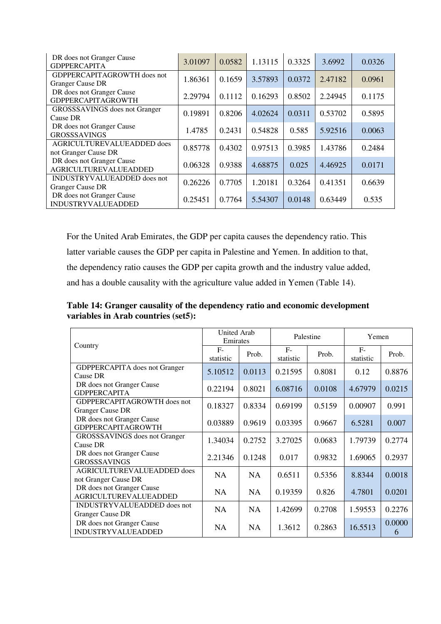| DR does not Granger Cause<br><b>GDPPERCAPITA</b> | 3.01097 | 0.0582 | 1.13115 | 0.3325 | 3.6992  | 0.0326 |  |
|--------------------------------------------------|---------|--------|---------|--------|---------|--------|--|
| GDPPERCAPITAGROWTH does not                      | 1.86361 | 0.1659 | 3.57893 | 0.0372 | 2.47182 | 0.0961 |  |
| <b>Granger Cause DR</b>                          |         |        |         |        |         |        |  |
| DR does not Granger Cause                        | 2.29794 | 0.1112 | 0.16293 | 0.8502 | 2.24945 | 0.1175 |  |
| <b>GDPPERCAPITAGROWTH</b>                        |         |        |         |        |         |        |  |
| GROSSSAVINGS does not Granger                    |         |        |         |        |         |        |  |
| Cause DR                                         | 0.19891 | 0.8206 | 4.02624 | 0.0311 | 0.53702 | 0.5895 |  |
| DR does not Granger Cause                        |         |        |         |        |         |        |  |
| <b>GROSSSAVINGS</b>                              | 1.4785  | 0.2431 | 0.54828 | 0.585  | 5.92516 | 0.0063 |  |
| AGRICULTUREVALUEADDED does                       |         |        |         |        |         |        |  |
| not Granger Cause DR                             | 0.85778 | 0.4302 | 0.97513 | 0.3985 | 1.43786 | 0.2484 |  |
| DR does not Granger Cause                        |         |        |         |        |         |        |  |
| <b>AGRICULTUREVALUEADDED</b>                     | 0.06328 | 0.9388 | 4.68875 | 0.025  | 4.46925 | 0.0171 |  |
| INDUSTRYVALUEADDED does not                      |         | 0.7705 | 1.20181 |        |         |        |  |
| <b>Granger Cause DR</b>                          | 0.26226 |        |         | 0.3264 | 0.41351 | 0.6639 |  |
| DR does not Granger Cause                        |         |        |         |        |         |        |  |
| <b>INDUSTRYVALUEADDED</b>                        | 0.25451 | 0.7764 | 5.54307 | 0.0148 | 0.63449 | 0.535  |  |

For the United Arab Emirates, the GDP per capita causes the dependency ratio. This latter variable causes the GDP per capita in Palestine and Yemen. In addition to that, the dependency ratio causes the GDP per capita growth and the industry value added, and has a double causality with the agriculture value added in Yemen (Table 14).

**Table 14: Granger causality of the dependency ratio and economic development variables in Arab countries (set5):** 

|                                                           | <b>United Arab</b><br>Emirates |           |                   | Palestine | Yemen             |             |  |
|-----------------------------------------------------------|--------------------------------|-----------|-------------------|-----------|-------------------|-------------|--|
| Country                                                   | $F-$<br>statistic              | Prob.     | $F-$<br>statistic | Prob.     | $F-$<br>statistic | Prob.       |  |
| <b>GDPPERCAPITA</b> does not Granger<br>Cause DR          | 5.10512                        | 0.0113    | 0.21595           | 0.8081    | 0.12              | 0.8876      |  |
| DR does not Granger Cause<br><b>GDPPERCAPITA</b>          | 0.22194                        | 0.8021    | 6.08716           | 0.0108    | 4.67979           | 0.0215      |  |
| GDPPERCAPITAGROWTH does not<br><b>Granger Cause DR</b>    | 0.18327                        | 0.8334    | 0.69199           | 0.5159    | 0.00907           | 0.991       |  |
| DR does not Granger Cause<br><b>GDPPERCAPITAGROWTH</b>    | 0.03889                        | 0.9619    | 0.03395           | 0.9667    | 6.5281            | 0.007       |  |
| <b>GROSSSAVINGS</b> does not Granger<br>Cause DR          | 1.34034                        | 0.2752    | 3.27025           | 0.0683    | 1.79739           | 0.2774      |  |
| DR does not Granger Cause<br><b>GROSSSAVINGS</b>          | 2.21346                        | 0.1248    | 0.017             | 0.9832    | 1.69065           | 0.2937      |  |
| AGRICULTUREVALUEADDED does<br>not Granger Cause DR        | <b>NA</b>                      | <b>NA</b> | 0.6511            | 0.5356    | 8.8344            | 0.0018      |  |
| DR does not Granger Cause<br><b>AGRICULTUREVALUEADDED</b> | <b>NA</b>                      | <b>NA</b> | 0.19359           | 0.826     | 4.7801            | 0.0201      |  |
| INDUSTRYVALUEADDED does not<br><b>Granger Cause DR</b>    | <b>NA</b>                      | <b>NA</b> | 1.42699           | 0.2708    | 1.59553           | 0.2276      |  |
| DR does not Granger Cause<br><b>INDUSTRYVALUEADDED</b>    | NA                             | <b>NA</b> | 1.3612            | 0.2863    | 16.5513           | 0.0000<br>6 |  |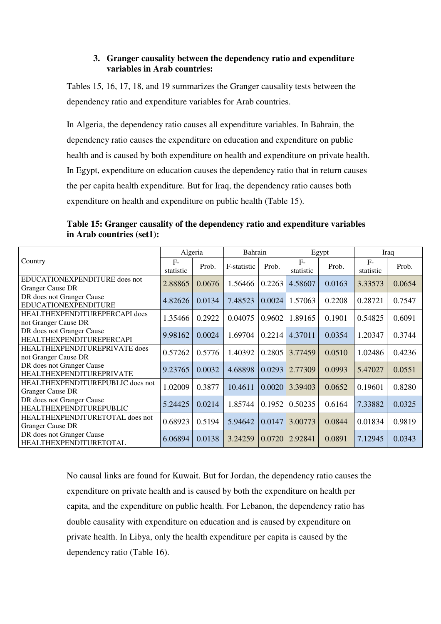#### **3. Granger causality between the dependency ratio and expenditure variables in Arab countries:**

Tables 15, 16, 17, 18, and 19 summarizes the Granger causality tests between the dependency ratio and expenditure variables for Arab countries.

In Algeria, the dependency ratio causes all expenditure variables. In Bahrain, the dependency ratio causes the expenditure on education and expenditure on public health and is caused by both expenditure on health and expenditure on private health. In Egypt, expenditure on education causes the dependency ratio that in return causes the per capita health expenditure. But for Iraq, the dependency ratio causes both expenditure on health and expenditure on public health (Table 15).

**Table 15: Granger causality of the dependency ratio and expenditure variables in Arab countries (set1):** 

|                                                              | Algeria           |        | Bahrain     |        |                   | Egypt  | Iraq               |        |
|--------------------------------------------------------------|-------------------|--------|-------------|--------|-------------------|--------|--------------------|--------|
| Country                                                      | $F-$<br>statistic | Prob.  | F-statistic | Prob.  | $F-$<br>statistic | Prob.  | $F -$<br>statistic | Prob.  |
| EDUCATIONEXPENDITURE does not<br><b>Granger Cause DR</b>     | 2.88865           | 0.0676 | 1.56466     | 0.2263 | 4.58607           | 0.0163 | 3.33573            | 0.0654 |
| DR does not Granger Cause<br>EDUCATIONEXPENDITURE            | 4.82626           | 0.0134 | 7.48523     | 0.0024 | 1.57063           | 0.2208 | 0.28721            | 0.7547 |
| HEALTHEXPENDITUREPERCAPI does<br>not Granger Cause DR        | 1.35466           | 0.2922 | 0.04075     | 0.9602 | 1.89165           | 0.1901 | 0.54825            | 0.6091 |
| DR does not Granger Cause<br><b>HEALTHEXPENDITUREPERCAPI</b> | 9.98162           | 0.0024 | 1.69704     | 0.2214 | 4.37011           | 0.0354 | 1.20347            | 0.3744 |
| HEALTHEXPENDITUREPRIVATE does<br>not Granger Cause DR        | 0.57262           | 0.5776 | 1.40392     | 0.2805 | 3.77459           | 0.0510 | 1.02486            | 0.4236 |
| DR does not Granger Cause<br>HEALTHEXPENDITUREPRIVATE        | 9.23765           | 0.0032 | 4.68898     | 0.0293 | 2.77309           | 0.0993 | 5.47027            | 0.0551 |
| HEALTHEXPENDITUREPUBLIC does not<br><b>Granger Cause DR</b>  | 1.02009           | 0.3877 | 10.4611     | 0.0020 | 3.39403           | 0.0652 | 0.19601            | 0.8280 |
| DR does not Granger Cause<br><b>HEALTHEXPENDITUREPUBLIC</b>  | 5.24425           | 0.0214 | 1.85744     | 0.1952 | 0.50235           | 0.6164 | 7.33882            | 0.0325 |
| HEALTHEXPENDITURETOTAL does not<br><b>Granger Cause DR</b>   | 0.68923           | 0.5194 | 5.94642     | 0.0147 | 3.00773           | 0.0844 | 0.01834            | 0.9819 |
| DR does not Granger Cause<br>HEALTHEXPENDITURETOTAL          | 6.06894           | 0.0138 | 3.24259     | 0.0720 | 2.92841           | 0.0891 | 7.12945            | 0.0343 |

No causal links are found for Kuwait. But for Jordan, the dependency ratio causes the expenditure on private health and is caused by both the expenditure on health per capita, and the expenditure on public health. For Lebanon, the dependency ratio has double causality with expenditure on education and is caused by expenditure on private health. In Libya, only the health expenditure per capita is caused by the dependency ratio (Table 16).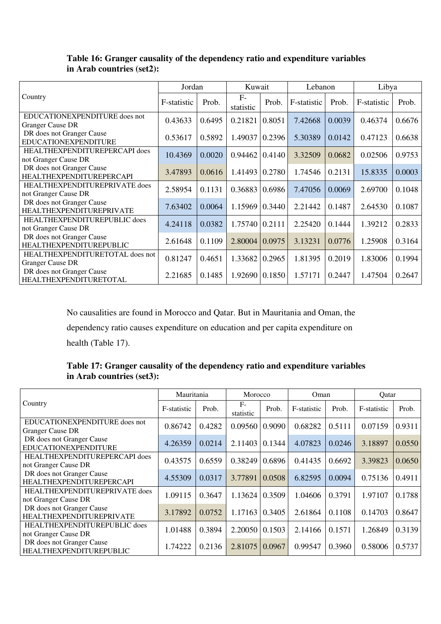|                                                              | Jordan      |        | Kuwait                     |        | Lebanon     |        | Libya       |        |
|--------------------------------------------------------------|-------------|--------|----------------------------|--------|-------------|--------|-------------|--------|
| Country                                                      | F-statistic | Prob.  | $F-$<br>statistic          | Prob.  | F-statistic | Prob.  | F-statistic | Prob.  |
| EDUCATIONEXPENDITURE does not<br><b>Granger Cause DR</b>     | 0.43633     | 0.6495 | 0.21821                    | 0.8051 | 7.42668     | 0.0039 | 0.46374     | 0.6676 |
| DR does not Granger Cause<br>EDUCATIONEXPENDITURE            | 0.53617     | 0.5892 | 1.49037                    | 0.2396 | 5.30389     | 0.0142 | 0.47123     | 0.6638 |
| HEALTHEXPENDITUREPERCAPI does<br>not Granger Cause DR        | 10.4369     | 0.0020 | $0.94462 \mid 0.4140 \mid$ |        | 3.32509     | 0.0682 | 0.02506     | 0.9753 |
| DR does not Granger Cause<br><b>HEALTHEXPENDITUREPERCAPI</b> | 3.47893     | 0.0616 | 1.41493 0.2780             |        | 1.74546     | 0.2131 | 15.8335     | 0.0003 |
| HEALTHEXPENDITUREPRIVATE does<br>not Granger Cause DR        | 2.58954     | 0.1131 | 0.36883                    | 0.6986 | 7.47056     | 0.0069 | 2.69700     | 0.1048 |
| DR does not Granger Cause<br>HEALTHEXPENDITUREPRIVATE        | 7.63402     | 0.0064 | 1.15969                    | 0.3440 | 2.21442     | 0.1487 | 2.64530     | 0.1087 |
| <b>HEALTHEXPENDITUREPUBLIC does</b><br>not Granger Cause DR  | 4.24118     | 0.0382 | 1.75740 0.2111             |        | 2.25420     | 0.1444 | 1.39212     | 0.2833 |
| DR does not Granger Cause<br><b>HEALTHEXPENDITUREPUBLIC</b>  | 2.61648     | 0.1109 | 2.80004                    | 0.0975 | 3.13231     | 0.0776 | 1.25908     | 0.3164 |
| HEALTHEXPENDITURETOTAL does not<br><b>Granger Cause DR</b>   | 0.81247     | 0.4651 | 1.33682                    | 0.2965 | 1.81395     | 0.2019 | 1.83006     | 0.1994 |
| DR does not Granger Cause<br><b>HEALTHEXPENDITURETOTAL</b>   | 2.21685     | 0.1485 | 1.92690   0.1850           |        | 1.57171     | 0.2447 | 1.47504     | 0.2647 |

## **Table 16: Granger causality of the dependency ratio and expenditure variables in Arab countries (set2):**

No causalities are found in Morocco and Qatar. But in Mauritania and Oman, the dependency ratio causes expenditure on education and per capita expenditure on health (Table 17).

| Table 17: Granger causality of the dependency ratio and expenditure variables |  |
|-------------------------------------------------------------------------------|--|
| in Arab countries (set3):                                                     |  |

|                                                              | Mauritania  |        | Morocco            |        | Oman        |        | Qatar       |        |
|--------------------------------------------------------------|-------------|--------|--------------------|--------|-------------|--------|-------------|--------|
| Country                                                      | F-statistic | Prob.  | $F -$<br>statistic | Prob.  | F-statistic | Prob.  | F-statistic | Prob.  |
| EDUCATIONEXPENDITURE does not<br><b>Granger Cause DR</b>     | 0.86742     | 0.4282 | 0.09560            | 0.9090 | 0.68282     | 0.5111 | 0.07159     | 0.9311 |
| DR does not Granger Cause<br>EDUCATIONEXPENDITURE            | 4.26359     | 0.0214 | 2.11403            | 0.1344 | 4.07823     | 0.0246 | 3.18897     | 0.0550 |
| HEALTHEXPENDITUREPERCAPI does<br>not Granger Cause DR        | 0.43575     | 0.6559 | 0.38249            | 0.6896 | 0.41435     | 0.6692 | 3.39823     | 0.0650 |
| DR does not Granger Cause<br><b>HEALTHEXPENDITUREPERCAPI</b> | 4.55309     | 0.0317 | 3.77891            | 0.0508 | 6.82595     | 0.0094 | 0.75136     | 0.4911 |
| HEALTHEXPENDITUREPRIVATE does<br>not Granger Cause DR        | 1.09115     | 0.3647 | 1.13624            | 0.3509 | 1.04606     | 0.3791 | 1.97107     | 0.1788 |
| DR does not Granger Cause<br><b>HEALTHEXPENDITUREPRIVATE</b> | 3.17892     | 0.0752 | 1.17163            | 0.3405 | 2.61864     | 0.1108 | 0.14703     | 0.8647 |
| HEALTHEXPENDITUREPUBLIC does<br>not Granger Cause DR         | 1.01488     | 0.3894 | 2.20050            | 0.1503 | 2.14166     | 0.1571 | 1.26849     | 0.3139 |
| DR does not Granger Cause<br>HEALTHEXPENDITUREPUBLIC         | 1.74222     | 0.2136 | 2.81075            | 0.0967 | 0.99547     | 0.3960 | 0.58006     | 0.5737 |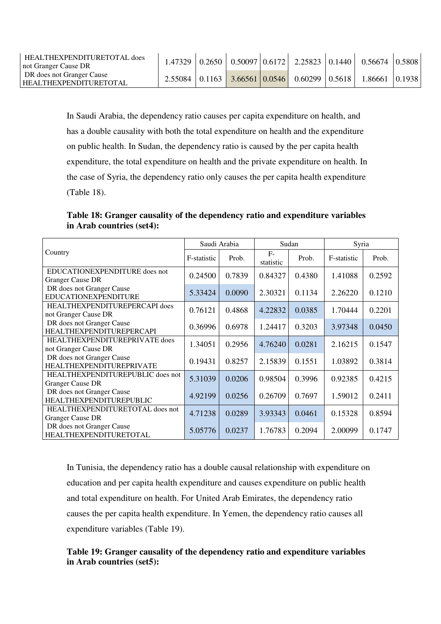| HEALTHEXPENDITURETOTAL does<br>not Granger Cause DR   | .47329 |  |                                                          | $\vert 0.2650 \vert 0.50097 \vert 0.6172 \vert 2.25823 \vert 0.1440 \vert 0.56674 \vert 0.5808$ |  |
|-------------------------------------------------------|--------|--|----------------------------------------------------------|-------------------------------------------------------------------------------------------------|--|
| DR does not Granger Cause<br>I HEALTHEXPENDITURETOTAL |        |  | $2.55084$   0.1163   3.66561   0.0546   0.60299   0.5618 | 1.86661 10.1938                                                                                 |  |

In Saudi Arabia, the dependency ratio causes per capita expenditure on health, and has a double causality with both the total expenditure on health and the expenditure on public health. In Sudan, the dependency ratio is caused by the per capita health expenditure, the total expenditure on health and the private expenditure on health. In the case of Syria, the dependency ratio only causes the per capita health expenditure (Table 18).

**Table 18: Granger causality of the dependency ratio and expenditure variables in Arab countries (set4):** 

|                                                              |             | Saudi Arabia |                   | Sudan  | Syria       |        |  |
|--------------------------------------------------------------|-------------|--------------|-------------------|--------|-------------|--------|--|
| Country                                                      | F-statistic | Prob.        | $F-$<br>statistic | Prob.  | F-statistic | Prob.  |  |
| EDUCATIONEXPENDITURE does not<br><b>Granger Cause DR</b>     | 0.24500     | 0.7839       | 0.84327           | 0.4380 | 1.41088     | 0.2592 |  |
| DR does not Granger Cause<br>EDUCATIONEXPENDITURE            | 5.33424     | 0.0090       | 2.30321           | 0.1134 | 2.26220     | 0.1210 |  |
| HEALTHEXPENDITUREPERCAPI does<br>not Granger Cause DR        | 0.76121     | 0.4868       | 4.22832           | 0.0385 | 1.70444     | 0.2201 |  |
| DR does not Granger Cause<br><b>HEALTHEXPENDITUREPERCAPI</b> | 0.36996     | 0.6978       | 1.24417           | 0.3203 | 3.97348     | 0.0450 |  |
| HEALTHEXPENDITUREPRIVATE does<br>not Granger Cause DR        | 1.34051     | 0.2956       | 4.76240           | 0.0281 | 2.16215     | 0.1547 |  |
| DR does not Granger Cause<br>HEALTHEXPENDITUREPRIVATE        | 0.19431     | 0.8257       | 2.15839           | 0.1551 | 1.03892     | 0.3814 |  |
| HEALTHEXPENDITUREPUBLIC does not<br><b>Granger Cause DR</b>  | 5.31039     | 0.0206       | 0.98504           | 0.3996 | 0.92385     | 0.4215 |  |
| DR does not Granger Cause<br><b>HEALTHEXPENDITUREPUBLIC</b>  | 4.92199     | 0.0256       | 0.26709           | 0.7697 | 1.59012     | 0.2411 |  |
| HEALTHEXPENDITURETOTAL does not<br><b>Granger Cause DR</b>   | 4.71238     | 0.0289       | 3.93343           | 0.0461 | 0.15328     | 0.8594 |  |
| DR does not Granger Cause<br>HEALTHEXPENDITURETOTAL          | 5.05776     | 0.0237       | 1.76783           | 0.2094 | 2.00099     | 0.1747 |  |

In Tunisia, the dependency ratio has a double causal relationship with expenditure on education and per capita health expenditure and causes expenditure on public health and total expenditure on health. For United Arab Emirates, the dependency ratio causes the per capita health expenditure. In Yemen, the dependency ratio causes all expenditure variables (Table 19).

## **Table 19: Granger causality of the dependency ratio and expenditure variables in Arab countries (set5):**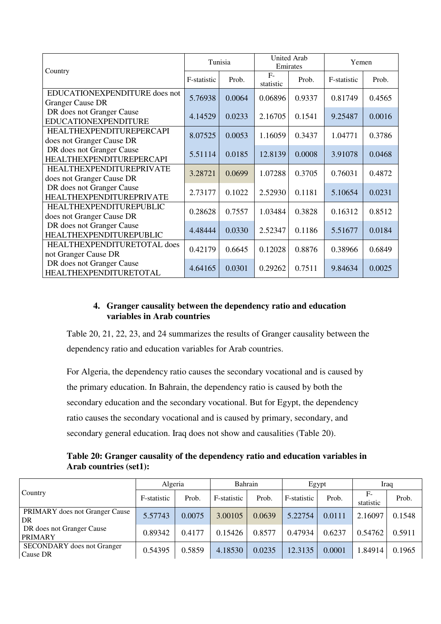|                                                              |             | Tunisia |                   | <b>United Arab</b><br>Emirates | Yemen       |        |  |
|--------------------------------------------------------------|-------------|---------|-------------------|--------------------------------|-------------|--------|--|
| Country                                                      | F-statistic | Prob.   | $F-$<br>statistic | Prob.                          | F-statistic | Prob.  |  |
| EDUCATIONEXPENDITURE does not<br><b>Granger Cause DR</b>     | 5.76938     | 0.0064  | 0.06896           | 0.9337                         | 0.81749     | 0.4565 |  |
| DR does not Granger Cause<br>EDUCATIONEXPENDITURE            | 4.14529     | 0.0233  | 2.16705           | 0.1541                         | 9.25487     | 0.0016 |  |
| <b>HEALTHEXPENDITUREPERCAPI</b><br>does not Granger Cause DR | 8.07525     | 0.0053  | 1.16059           | 0.3437                         | 1.04771     | 0.3786 |  |
| DR does not Granger Cause<br><b>HEALTHEXPENDITUREPERCAPI</b> | 5.51114     | 0.0185  | 12.8139           | 0.0008                         | 3.91078     | 0.0468 |  |
| HEALTHEXPENDITUREPRIVATE<br>does not Granger Cause DR        | 3.28721     | 0.0699  | 1.07288           | 0.3705                         | 0.76031     | 0.4872 |  |
| DR does not Granger Cause<br>HEALTHEXPENDITUREPRIVATE        | 2.73177     | 0.1022  | 2.52930           | 0.1181                         | 5.10654     | 0.0231 |  |
| HEALTHEXPENDITUREPUBLIC<br>does not Granger Cause DR         | 0.28628     | 0.7557  | 1.03484           | 0.3828                         | 0.16312     | 0.8512 |  |
| DR does not Granger Cause<br><b>HEALTHEXPENDITUREPUBLIC</b>  | 4.48444     | 0.0330  | 2.52347           | 0.1186                         | 5.51677     | 0.0184 |  |
| HEALTHEXPENDITURETOTAL does<br>not Granger Cause DR          | 0.42179     | 0.6645  | 0.12028           | 0.8876                         | 0.38966     | 0.6849 |  |
| DR does not Granger Cause<br>HEALTHEXPENDITURETOTAL          | 4.64165     | 0.0301  | 0.29262           | 0.7511                         | 9.84634     | 0.0025 |  |

### **4. Granger causality between the dependency ratio and education variables in Arab countries**

Table 20, 21, 22, 23, and 24 summarizes the results of Granger causality between the dependency ratio and education variables for Arab countries.

For Algeria, the dependency ratio causes the secondary vocational and is caused by the primary education. In Bahrain, the dependency ratio is caused by both the secondary education and the secondary vocational. But for Egypt, the dependency ratio causes the secondary vocational and is caused by primary, secondary, and secondary general education. Iraq does not show and causalities (Table 20).

**Table 20: Granger causality of the dependency ratio and education variables in Arab countries (set1):** 

|                                               | Algeria     |        | Bahrain     |        |             | Egypt  | Iraq            |        |
|-----------------------------------------------|-------------|--------|-------------|--------|-------------|--------|-----------------|--------|
| Country                                       | F-statistic | Prob.  | F-statistic | Prob.  | F-statistic | Prob.  | F-<br>statistic | Prob.  |
| PRIMARY does not Granger Cause<br>DR          | 5.57743     | 0.0075 | 3.00105     | 0.0639 | 5.22754     | 0.0111 | 2.16097         | 0.1548 |
| DR does not Granger Cause<br><b>PRIMARY</b>   | 0.89342     | 0.4177 | 0.15426     | 0.8577 | 0.47934     | 0.6237 | 0.54762         | 0.5911 |
| <b>SECONDARY</b> does not Granger<br>Cause DR | 0.54395     | 0.5859 | 4.18530     | 0.0235 | 12.3135     | 0.0001 | 1.84914         | 0.1965 |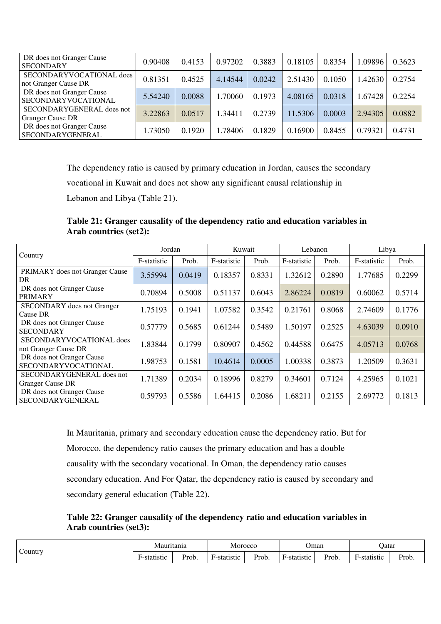| DR does not Granger Cause<br><b>SECONDARY</b>        | 0.90408 | 0.4153 | 0.97202 | 0.3883 | 0.18105 | 0.8354 | 1.09896 | 0.3623 |
|------------------------------------------------------|---------|--------|---------|--------|---------|--------|---------|--------|
| SECONDARYVOCATIONAL does<br>not Granger Cause DR     | 0.81351 | 0.4525 | 4.14544 | 0.0242 | 2.51430 | 0.1050 | 1.42630 | 0.2754 |
| DR does not Granger Cause<br>SECONDARYVOCATIONAL     | 5.54240 | 0.0088 | 1.70060 | 0.1973 | 4.08165 | 0.0318 | 1.67428 | 0.2254 |
| SECONDARYGENERAL does not<br><b>Granger Cause DR</b> | 3.22863 | 0.0517 | 1.34411 | 0.2739 | 11.5306 | 0.0003 | 2.94305 | 0.0882 |
| DR does not Granger Cause<br>SECONDARYGENERAL        | 1.73050 | 0.1920 | 1.78406 | 0.1829 | 0.16900 | 0.8455 | 0.79321 | 0.4731 |

The dependency ratio is caused by primary education in Jordan, causes the secondary

vocational in Kuwait and does not show any significant causal relationship in

Lebanon and Libya (Table 21).

**Table 21: Granger causality of the dependency ratio and education variables in Arab countries (set2):** 

|                                                      | Jordan      |        |             | Kuwait |             | Lebanon | Libya       |        |
|------------------------------------------------------|-------------|--------|-------------|--------|-------------|---------|-------------|--------|
| Country                                              | F-statistic | Prob.  | F-statistic | Prob.  | F-statistic | Prob.   | F-statistic | Prob.  |
| PRIMARY does not Granger Cause<br>DR                 | 3.55994     | 0.0419 | 0.18357     | 0.8331 | 1.32612     | 0.2890  | 1.77685     | 0.2299 |
| DR does not Granger Cause<br><b>PRIMARY</b>          | 0.70894     | 0.5008 | 0.51137     | 0.6043 | 2.86224     | 0.0819  | 0.60062     | 0.5714 |
| <b>SECONDARY</b> does not Granger<br>Cause DR        | 1.75193     | 0.1941 | 1.07582     | 0.3542 | 0.21761     | 0.8068  | 2.74609     | 0.1776 |
| DR does not Granger Cause<br><b>SECONDARY</b>        | 0.57779     | 0.5685 | 0.61244     | 0.5489 | 1.50197     | 0.2525  | 4.63039     | 0.0910 |
| SECONDARYVOCATIONAL does<br>not Granger Cause DR     | 1.83844     | 0.1799 | 0.80907     | 0.4562 | 0.44588     | 0.6475  | 4.05713     | 0.0768 |
| DR does not Granger Cause<br>SECONDARYVOCATIONAL     | 1.98753     | 0.1581 | 10.4614     | 0.0005 | 1.00338     | 0.3873  | 1.20509     | 0.3631 |
| SECONDARYGENERAL does not<br><b>Granger Cause DR</b> | 1.71389     | 0.2034 | 0.18996     | 0.8279 | 0.34601     | 0.7124  | 4.25965     | 0.1021 |
| DR does not Granger Cause<br>SECONDARYGENERAL        | 0.59793     | 0.5586 | 1.64415     | 0.2086 | 1.68211     | 0.2155  | 2.69772     | 0.1813 |

In Mauritania, primary and secondary education cause the dependency ratio. But for Morocco, the dependency ratio causes the primary education and has a double causality with the secondary vocational. In Oman, the dependency ratio causes secondary education. And For Qatar, the dependency ratio is caused by secondary and secondary general education (Table 22).

**Table 22: Granger causality of the dependency ratio and education variables in Arab countries (set3):** 

| $\tilde{\phantom{0}}$<br>$\sim$ ountry | Mauritania |       | Morocco                                 |                 | Jman                  |                      | Jatar                                   |                                         |
|----------------------------------------|------------|-------|-----------------------------------------|-----------------|-----------------------|----------------------|-----------------------------------------|-----------------------------------------|
|                                        | -statistic | Prob. | $\overline{\phantom{0}}$<br>≁-statıstıc | $\sim$<br>Prob. | ÷<br>. Statistic<br>- | $\sim$<br>Prob.<br>. | $\overline{\phantom{0}}$<br>F-statistic | $\sim$<br>Prob.<br>$\sim$ $\sim$ $\sim$ |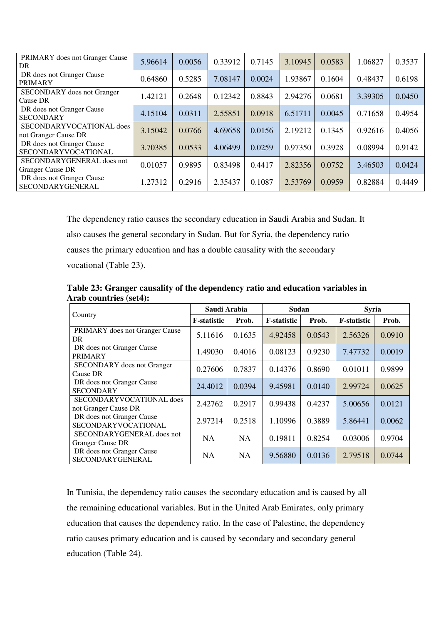| <b>PRIMARY</b> does not Granger Cause<br>DR          | 5.96614 | 0.0056 | 0.33912 | 0.7145 | 3.10945 | 0.0583 | 1.06827 | 0.3537 |
|------------------------------------------------------|---------|--------|---------|--------|---------|--------|---------|--------|
| DR does not Granger Cause<br><b>PRIMARY</b>          | 0.64860 | 0.5285 | 7.08147 | 0.0024 | 1.93867 | 0.1604 | 0.48437 | 0.6198 |
| <b>SECONDARY</b> does not Granger<br>Cause DR        | 1.42121 | 0.2648 | 0.12342 | 0.8843 | 2.94276 | 0.0681 | 3.39305 | 0.0450 |
| DR does not Granger Cause<br><b>SECONDARY</b>        | 4.15104 | 0.0311 | 2.55851 | 0.0918 | 6.51711 | 0.0045 | 0.71658 | 0.4954 |
| SECONDARYVOCATIONAL does<br>not Granger Cause DR     | 3.15042 | 0.0766 | 4.69658 | 0.0156 | 2.19212 | 0.1345 | 0.92616 | 0.4056 |
| DR does not Granger Cause<br>SECONDARYVOCATIONAL     | 3.70385 | 0.0533 | 4.06499 | 0.0259 | 0.97350 | 0.3928 | 0.08994 | 0.9142 |
| SECONDARYGENERAL does not<br><b>Granger Cause DR</b> | 0.01057 | 0.9895 | 0.83498 | 0.4417 | 2.82356 | 0.0752 | 3.46503 | 0.0424 |
| DR does not Granger Cause<br>SECONDARYGENERAL        | 1.27312 | 0.2916 | 2.35437 | 0.1087 | 2.53769 | 0.0959 | 0.82884 | 0.4449 |

The dependency ratio causes the secondary education in Saudi Arabia and Sudan. It also causes the general secondary in Sudan. But for Syria, the dependency ratio causes the primary education and has a double causality with the secondary vocational (Table 23).

|                                                  | Saudi Arabia        |           | Sudan               |        | <b>Syria</b>        |        |  |
|--------------------------------------------------|---------------------|-----------|---------------------|--------|---------------------|--------|--|
| Country                                          | <b>F</b> -statistic | Prob.     | <b>F</b> -statistic | Prob.  | <b>F</b> -statistic | Prob.  |  |
| PRIMARY does not Granger Cause<br>DR.            | 5.11616             | 0.1635    | 4.92458             | 0.0543 | 2.56326             | 0.0910 |  |
| DR does not Granger Cause<br><b>PRIMARY</b>      | 1.49030             | 0.4016    | 0.08123             | 0.9230 | 7.47732             | 0.0019 |  |
| <b>SECONDARY</b> does not Granger<br>Cause DR    | 0.27606             | 0.7837    | 0.14376             | 0.8690 | 0.01011             | 0.9899 |  |
| DR does not Granger Cause<br><b>SECONDARY</b>    | 24.4012             | 0.0394    | 9.45981             | 0.0140 | 2.99724             | 0.0625 |  |
| SECONDARYVOCATIONAL does<br>not Granger Cause DR | 2.42762             | 0.2917    | 0.99438             | 0.4237 | 5.00656             | 0.0121 |  |
| DR does not Granger Cause<br>SECONDARYVOCATIONAL | 2.97214             | 0.2518    | 1.10996             | 0.3889 | 5.86441             | 0.0062 |  |
| SECONDARYGENERAL does not<br>Granger Cause DR    | <b>NA</b>           | <b>NA</b> | 0.19811             | 0.8254 | 0.03006             | 0.9704 |  |
| DR does not Granger Cause<br>SECONDARYGENERAL    | NA                  | <b>NA</b> | 9.56880             | 0.0136 | 2.79518             | 0.0744 |  |

**Table 23: Granger causality of the dependency ratio and education variables in Arab countries (set4):** 

In Tunisia, the dependency ratio causes the secondary education and is caused by all the remaining educational variables. But in the United Arab Emirates, only primary education that causes the dependency ratio. In the case of Palestine, the dependency ratio causes primary education and is caused by secondary and secondary general education (Table 24).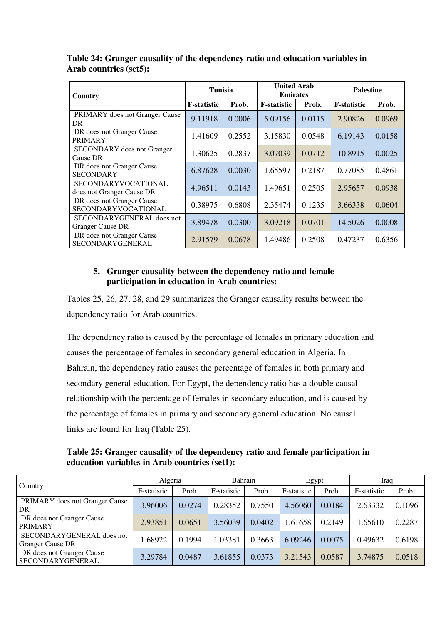| Country                                                 | <b>Tunisia</b>      |        | <b>United Arab</b><br><b>Emirates</b> |        |                     | <b>Palestine</b> |  |  |
|---------------------------------------------------------|---------------------|--------|---------------------------------------|--------|---------------------|------------------|--|--|
|                                                         | <b>F</b> -statistic | Prob.  | <b>F</b> -statistic                   | Prob.  | <b>F</b> -statistic | Prob.            |  |  |
| PRIMARY does not Granger Cause<br>DR                    | 9.11918             | 0.0006 | 5.09156                               | 0.0115 | 2.90826             | 0.0969           |  |  |
| DR does not Granger Cause<br>PRIMARY                    | 1.41609             | 0.2552 | 3.15830                               | 0.0548 | 6.19143             | 0.0158           |  |  |
| <b>SECONDARY</b> does not Granger<br>Cause DR           | 1.30625             | 0.2837 | 3.07039                               | 0.0712 | 10.8915             | 0.0025           |  |  |
| DR does not Granger Cause<br><b>SECONDARY</b>           | 6.87628             | 0.0030 | 1.65597                               | 0.2187 | 0.77085             | 0.4861           |  |  |
| <b>SECONDARYVOCATIONAL</b><br>does not Granger Cause DR | 4.96511             | 0.0143 | 1.49651                               | 0.2505 | 2.95657             | 0.0938           |  |  |
| DR does not Granger Cause<br>SECONDARYVOCATIONAL        | 0.38975             | 0.6808 | 2.35474                               | 0.1235 | 3.66338             | 0.0604           |  |  |
| SECONDARYGENERAL does not<br><b>Granger Cause DR</b>    | 3.89478             | 0.0300 | 3.09218                               | 0.0701 | 14.5026             | 0.0008           |  |  |
| DR does not Granger Cause<br>SECONDARYGENERAL           | 2.91579             | 0.0678 | 1.49486                               | 0.2508 | 0.47237             | 0.6356           |  |  |

**Table 24: Granger causality of the dependency ratio and education variables in Arab countries (set5):** 

## **5. Granger causality between the dependency ratio and female participation in education in Arab countries:**

Tables 25, 26, 27, 28, and 29 summarizes the Granger causality results between the dependency ratio for Arab countries.

The dependency ratio is caused by the percentage of females in primary education and causes the percentage of females in secondary general education in Algeria. In Bahrain, the dependency ratio causes the percentage of females in both primary and secondary general education. For Egypt, the dependency ratio has a double causal relationship with the percentage of females in secondary education, and is caused by the percentage of females in primary and secondary general education. No causal links are found for Iraq (Table 25).

**Table 25: Granger causality of the dependency ratio and female participation in education variables in Arab countries (set1):** 

|                                                      | Algeria     |        | Bahrain     |        |             | Egypt  | Iraq        |        |
|------------------------------------------------------|-------------|--------|-------------|--------|-------------|--------|-------------|--------|
| Country                                              | F-statistic | Prob.  | F-statistic | Prob.  | F-statistic | Prob.  | F-statistic | Prob.  |
| PRIMARY does not Granger Cause<br>DR                 | 3.96006     | 0.0274 | 0.28352     | 0.7550 | 4.56060     | 0.0184 | 2.63332     | 0.1096 |
| DR does not Granger Cause<br><b>PRIMARY</b>          | 2.93851     | 0.0651 | 3.56039     | 0.0402 | 1.61658     | 0.2149 | 1.65610     | 0.2287 |
| SECONDARYGENERAL does not<br><b>Granger Cause DR</b> | 1.68922     | 0.1994 | 1.03381     | 0.3663 | 6.09246     | 0.0075 | 0.49632     | 0.6198 |
| DR does not Granger Cause<br>SECONDARYGENERAL        | 3.29784     | 0.0487 | 3.61855     | 0.0373 | 3.21543     | 0.0587 | 3.74875     | 0.0518 |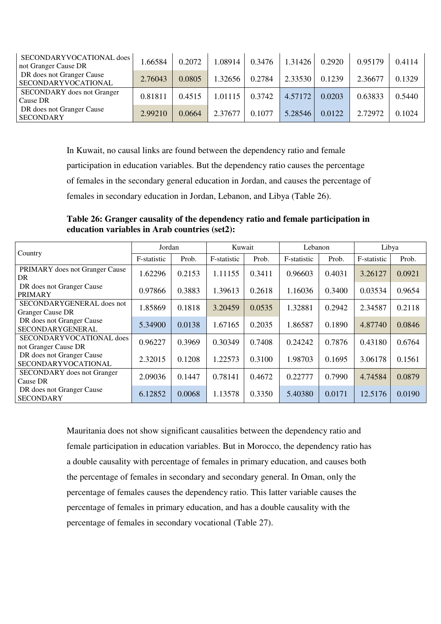| SECONDARYVOCATIONAL does<br>not Granger Cause DR   | 1.66584 | 0.2072 | .08914  | 0.3476 | 1.31426 | 0.2920 | 0.95179 | 0.4114 |
|----------------------------------------------------|---------|--------|---------|--------|---------|--------|---------|--------|
| DR does not Granger Cause<br>  SECONDARYVOCATIONAL | 2.76043 | 0.0805 | 1.32656 | 0.2784 | 2.33530 | 0.1239 | 2.36677 | 0.1329 |
| <b>SECONDARY</b> does not Granger<br>Cause DR      | 0.81811 | 0.4515 | 1.01115 | 0.3742 | 4.57172 | 0.0203 | 0.63833 | 0.5440 |
| DR does not Granger Cause<br><b>SECONDARY</b>      | 2.99210 | 0.0664 | 2.37677 | 0.1077 | 5.28546 | 0.0122 | 2.72972 | 0.1024 |

In Kuwait, no causal links are found between the dependency ratio and female

participation in education variables. But the dependency ratio causes the percentage

of females in the secondary general education in Jordan, and causes the percentage of

females in secondary education in Jordan, Lebanon, and Libya (Table 26).

**Table 26: Granger causality of the dependency ratio and female participation in education variables in Arab countries (set2):** 

|                                                         | Jordan      |        | Kuwait      |        | Lebanon     |        | Libya       |        |
|---------------------------------------------------------|-------------|--------|-------------|--------|-------------|--------|-------------|--------|
| Country                                                 | F-statistic | Prob.  | F-statistic | Prob.  | F-statistic | Prob.  | F-statistic | Prob.  |
| PRIMARY does not Granger Cause<br>DR                    | 1.62296     | 0.2153 | 1.11155     | 0.3411 | 0.96603     | 0.4031 | 3.26127     | 0.0921 |
| DR does not Granger Cause<br><b>PRIMARY</b>             | 0.97866     | 0.3883 | 1.39613     | 0.2618 | 1.16036     | 0.3400 | 0.03534     | 0.9654 |
| SECONDARYGENERAL does not<br><b>Granger Cause DR</b>    | 1.85869     | 0.1818 | 3.20459     | 0.0535 | 1.32881     | 0.2942 | 2.34587     | 0.2118 |
| DR does not Granger Cause<br><b>SECONDARYGENERAL</b>    | 5.34900     | 0.0138 | 1.67165     | 0.2035 | 1.86587     | 0.1890 | 4.87740     | 0.0846 |
| SECONDARYVOCATIONAL does<br>not Granger Cause DR        | 0.96227     | 0.3969 | 0.30349     | 0.7408 | 0.24242     | 0.7876 | 0.43180     | 0.6764 |
| DR does not Granger Cause<br><b>SECONDARYVOCATIONAL</b> | 2.32015     | 0.1208 | 1.22573     | 0.3100 | 1.98703     | 0.1695 | 3.06178     | 0.1561 |
| <b>SECONDARY</b> does not Granger<br>Cause DR           | 2.09036     | 0.1447 | 0.78141     | 0.4672 | 0.22777     | 0.7990 | 4.74584     | 0.0879 |
| DR does not Granger Cause<br><b>SECONDARY</b>           | 6.12852     | 0.0068 | 1.13578     | 0.3350 | 5.40380     | 0.0171 | 12.5176     | 0.0190 |

Mauritania does not show significant causalities between the dependency ratio and female participation in education variables. But in Morocco, the dependency ratio has a double causality with percentage of females in primary education, and causes both the percentage of females in secondary and secondary general. In Oman, only the percentage of females causes the dependency ratio. This latter variable causes the percentage of females in primary education, and has a double causality with the percentage of females in secondary vocational (Table 27).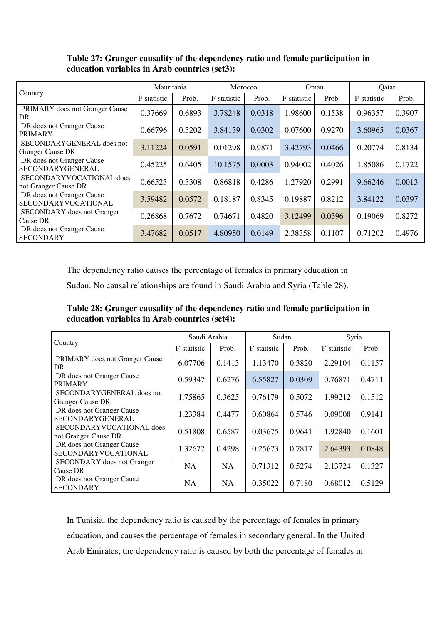#### **Table 27: Granger causality of the dependency ratio and female participation in education variables in Arab countries (set3):**

|                                                      | Mauritania  |        | Morocco     |        | Oman        |        | Qatar       |        |
|------------------------------------------------------|-------------|--------|-------------|--------|-------------|--------|-------------|--------|
| Country                                              | F-statistic | Prob.  | F-statistic | Prob.  | F-statistic | Prob.  | F-statistic | Prob.  |
| PRIMARY does not Granger Cause<br>DR                 | 0.37669     | 0.6893 | 3.78248     | 0.0318 | 1.98600     | 0.1538 | 0.96357     | 0.3907 |
| DR does not Granger Cause<br>PRIMARY                 | 0.66796     | 0.5202 | 3.84139     | 0.0302 | 0.07600     | 0.9270 | 3.60965     | 0.0367 |
| SECONDARYGENERAL does not<br><b>Granger Cause DR</b> | 3.11224     | 0.0591 | 0.01298     | 0.9871 | 3.42793     | 0.0466 | 0.20774     | 0.8134 |
| DR does not Granger Cause<br>SECONDARYGENERAL        | 0.45225     | 0.6405 | 10.1575     | 0.0003 | 0.94002     | 0.4026 | 1.85086     | 0.1722 |
| SECONDARYVOCATIONAL does<br>not Granger Cause DR     | 0.66523     | 0.5308 | 0.86818     | 0.4286 | 1.27920     | 0.2991 | 9.66246     | 0.0013 |
| DR does not Granger Cause<br>SECONDARYVOCATIONAL     | 3.59482     | 0.0572 | 0.18187     | 0.8345 | 0.19887     | 0.8212 | 3.84122     | 0.0397 |
| <b>SECONDARY</b> does not Granger<br>Cause DR        | 0.26868     | 0.7672 | 0.74671     | 0.4820 | 3.12499     | 0.0596 | 0.19069     | 0.8272 |
| DR does not Granger Cause<br><b>SECONDARY</b>        | 3.47682     | 0.0517 | 4.80950     | 0.0149 | 2.38358     | 0.1107 | 0.71202     | 0.4976 |

The dependency ratio causes the percentage of females in primary education in

Sudan. No causal relationships are found in Saudi Arabia and Syria (Table 28).

**Table 28: Granger causality of the dependency ratio and female participation in education variables in Arab countries (set4):** 

|                                                      | Saudi Arabia |           | Sudan       |        | Syria       |        |
|------------------------------------------------------|--------------|-----------|-------------|--------|-------------|--------|
| Country                                              | F-statistic  | Prob.     | F-statistic | Prob.  | F-statistic | Prob.  |
| PRIMARY does not Granger Cause<br>DR                 | 6.07706      | 0.1413    | 1.13470     | 0.3820 | 2.29104     | 0.1157 |
| DR does not Granger Cause<br><b>PRIMARY</b>          | 0.59347      | 0.6276    | 6.55827     | 0.0309 | 0.76871     | 0.4711 |
| SECONDARYGENERAL does not<br><b>Granger Cause DR</b> | 1.75865      | 0.3625    | 0.76179     | 0.5072 | 1.99212     | 0.1512 |
| DR does not Granger Cause<br>SECONDARYGENERAL        | 1.23384      | 0.4477    | 0.60864     | 0.5746 | 0.09008     | 0.9141 |
| SECONDARYVOCATIONAL does<br>not Granger Cause DR     | 0.51808      | 0.6587    | 0.03675     | 0.9641 | 1.92840     | 0.1601 |
| DR does not Granger Cause<br>SECONDARYVOCATIONAL     | 1.32677      | 0.4298    | 0.25673     | 0.7817 | 2.64393     | 0.0848 |
| <b>SECONDARY</b> does not Granger<br>Cause DR        | <b>NA</b>    | <b>NA</b> | 0.71312     | 0.5274 | 2.13724     | 0.1327 |
| DR does not Granger Cause<br><b>SECONDARY</b>        | <b>NA</b>    | <b>NA</b> | 0.35022     | 0.7180 | 0.68012     | 0.5129 |

In Tunisia, the dependency ratio is caused by the percentage of females in primary education, and causes the percentage of females in secondary general. In the United Arab Emirates, the dependency ratio is caused by both the percentage of females in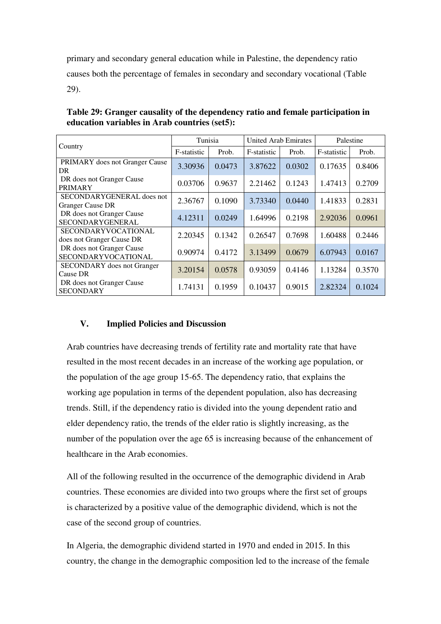primary and secondary general education while in Palestine, the dependency ratio causes both the percentage of females in secondary and secondary vocational (Table 29).

**Table 29: Granger causality of the dependency ratio and female participation in education variables in Arab countries (set5):** 

|                                                         | Tunisia     |        | United Arab Emirates |        | Palestine   |        |
|---------------------------------------------------------|-------------|--------|----------------------|--------|-------------|--------|
| Country                                                 | F-statistic | Prob.  | F-statistic          | Prob.  | F-statistic | Prob.  |
| <b>PRIMARY</b> does not Granger Cause<br>DR.            | 3.30936     | 0.0473 | 3.87622              | 0.0302 | 0.17635     | 0.8406 |
| DR does not Granger Cause<br><b>PRIMARY</b>             | 0.03706     | 0.9637 | 2.21462              | 0.1243 | 1.47413     | 0.2709 |
| SECONDARYGENERAL does not<br><b>Granger Cause DR</b>    | 2.36767     | 0.1090 | 3.73340              | 0.0440 | 1.41833     | 0.2831 |
| DR does not Granger Cause<br>SECONDARYGENERAL           | 4.12311     | 0.0249 | 1.64996              | 0.2198 | 2.92036     | 0.0961 |
| <b>SECONDARYVOCATIONAL</b><br>does not Granger Cause DR | 2.20345     | 0.1342 | 0.26547              | 0.7698 | 1.60488     | 0.2446 |
| DR does not Granger Cause<br>SECONDARYVOCATIONAL        | 0.90974     | 0.4172 | 3.13499              | 0.0679 | 6.07943     | 0.0167 |
| <b>SECONDARY</b> does not Granger<br>Cause DR           | 3.20154     | 0.0578 | 0.93059              | 0.4146 | 1.13284     | 0.3570 |
| DR does not Granger Cause<br><b>SECONDARY</b>           | 1.74131     | 0.1959 | 0.10437              | 0.9015 | 2.82324     | 0.1024 |

### **V. Implied Policies and Discussion**

Arab countries have decreasing trends of fertility rate and mortality rate that have resulted in the most recent decades in an increase of the working age population, or the population of the age group 15-65. The dependency ratio, that explains the working age population in terms of the dependent population, also has decreasing trends. Still, if the dependency ratio is divided into the young dependent ratio and elder dependency ratio, the trends of the elder ratio is slightly increasing, as the number of the population over the age 65 is increasing because of the enhancement of healthcare in the Arab economies.

All of the following resulted in the occurrence of the demographic dividend in Arab countries. These economies are divided into two groups where the first set of groups is characterized by a positive value of the demographic dividend, which is not the case of the second group of countries.

In Algeria, the demographic dividend started in 1970 and ended in 2015. In this country, the change in the demographic composition led to the increase of the female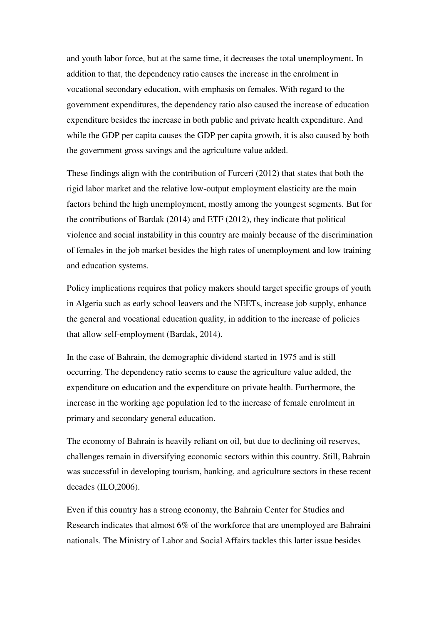and youth labor force, but at the same time, it decreases the total unemployment. In addition to that, the dependency ratio causes the increase in the enrolment in vocational secondary education, with emphasis on females. With regard to the government expenditures, the dependency ratio also caused the increase of education expenditure besides the increase in both public and private health expenditure. And while the GDP per capita causes the GDP per capita growth, it is also caused by both the government gross savings and the agriculture value added.

These findings align with the contribution of Furceri (2012) that states that both the rigid labor market and the relative low-output employment elasticity are the main factors behind the high unemployment, mostly among the youngest segments. But for the contributions of Bardak (2014) and ETF (2012), they indicate that political violence and social instability in this country are mainly because of the discrimination of females in the job market besides the high rates of unemployment and low training and education systems.

Policy implications requires that policy makers should target specific groups of youth in Algeria such as early school leavers and the NEETs, increase job supply, enhance the general and vocational education quality, in addition to the increase of policies that allow self-employment (Bardak, 2014).

In the case of Bahrain, the demographic dividend started in 1975 and is still occurring. The dependency ratio seems to cause the agriculture value added, the expenditure on education and the expenditure on private health. Furthermore, the increase in the working age population led to the increase of female enrolment in primary and secondary general education.

The economy of Bahrain is heavily reliant on oil, but due to declining oil reserves, challenges remain in diversifying economic sectors within this country. Still, Bahrain was successful in developing tourism, banking, and agriculture sectors in these recent decades (ILO,2006).

Even if this country has a strong economy, the Bahrain Center for Studies and Research indicates that almost 6% of the workforce that are unemployed are Bahraini nationals. The Ministry of Labor and Social Affairs tackles this latter issue besides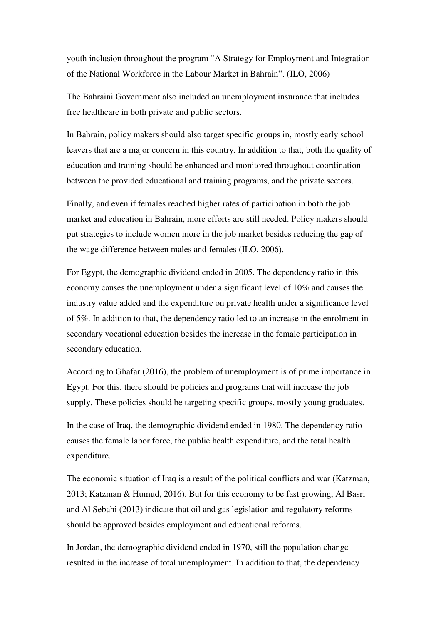youth inclusion throughout the program "A Strategy for Employment and Integration of the National Workforce in the Labour Market in Bahrain". (ILO, 2006)

The Bahraini Government also included an unemployment insurance that includes free healthcare in both private and public sectors.

In Bahrain, policy makers should also target specific groups in, mostly early school leavers that are a major concern in this country. In addition to that, both the quality of education and training should be enhanced and monitored throughout coordination between the provided educational and training programs, and the private sectors.

Finally, and even if females reached higher rates of participation in both the job market and education in Bahrain, more efforts are still needed. Policy makers should put strategies to include women more in the job market besides reducing the gap of the wage difference between males and females (ILO, 2006).

For Egypt, the demographic dividend ended in 2005. The dependency ratio in this economy causes the unemployment under a significant level of 10% and causes the industry value added and the expenditure on private health under a significance level of 5%. In addition to that, the dependency ratio led to an increase in the enrolment in secondary vocational education besides the increase in the female participation in secondary education.

According to Ghafar (2016), the problem of unemployment is of prime importance in Egypt. For this, there should be policies and programs that will increase the job supply. These policies should be targeting specific groups, mostly young graduates.

In the case of Iraq, the demographic dividend ended in 1980. The dependency ratio causes the female labor force, the public health expenditure, and the total health expenditure.

The economic situation of Iraq is a result of the political conflicts and war (Katzman, 2013; Katzman & Humud, 2016). But for this economy to be fast growing, Al Basri and Al Sebahi (2013) indicate that oil and gas legislation and regulatory reforms should be approved besides employment and educational reforms.

In Jordan, the demographic dividend ended in 1970, still the population change resulted in the increase of total unemployment. In addition to that, the dependency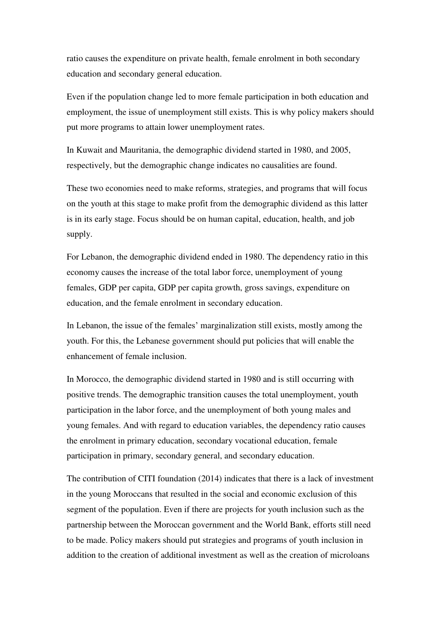ratio causes the expenditure on private health, female enrolment in both secondary education and secondary general education.

Even if the population change led to more female participation in both education and employment, the issue of unemployment still exists. This is why policy makers should put more programs to attain lower unemployment rates.

In Kuwait and Mauritania, the demographic dividend started in 1980, and 2005, respectively, but the demographic change indicates no causalities are found.

These two economies need to make reforms, strategies, and programs that will focus on the youth at this stage to make profit from the demographic dividend as this latter is in its early stage. Focus should be on human capital, education, health, and job supply.

For Lebanon, the demographic dividend ended in 1980. The dependency ratio in this economy causes the increase of the total labor force, unemployment of young females, GDP per capita, GDP per capita growth, gross savings, expenditure on education, and the female enrolment in secondary education.

In Lebanon, the issue of the females' marginalization still exists, mostly among the youth. For this, the Lebanese government should put policies that will enable the enhancement of female inclusion.

In Morocco, the demographic dividend started in 1980 and is still occurring with positive trends. The demographic transition causes the total unemployment, youth participation in the labor force, and the unemployment of both young males and young females. And with regard to education variables, the dependency ratio causes the enrolment in primary education, secondary vocational education, female participation in primary, secondary general, and secondary education.

The contribution of CITI foundation (2014) indicates that there is a lack of investment in the young Moroccans that resulted in the social and economic exclusion of this segment of the population. Even if there are projects for youth inclusion such as the partnership between the Moroccan government and the World Bank, efforts still need to be made. Policy makers should put strategies and programs of youth inclusion in addition to the creation of additional investment as well as the creation of microloans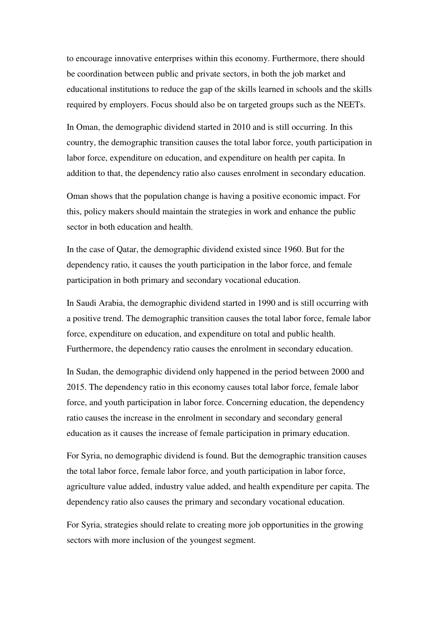to encourage innovative enterprises within this economy. Furthermore, there should be coordination between public and private sectors, in both the job market and educational institutions to reduce the gap of the skills learned in schools and the skills required by employers. Focus should also be on targeted groups such as the NEETs.

In Oman, the demographic dividend started in 2010 and is still occurring. In this country, the demographic transition causes the total labor force, youth participation in labor force, expenditure on education, and expenditure on health per capita. In addition to that, the dependency ratio also causes enrolment in secondary education.

Oman shows that the population change is having a positive economic impact. For this, policy makers should maintain the strategies in work and enhance the public sector in both education and health.

In the case of Qatar, the demographic dividend existed since 1960. But for the dependency ratio, it causes the youth participation in the labor force, and female participation in both primary and secondary vocational education.

In Saudi Arabia, the demographic dividend started in 1990 and is still occurring with a positive trend. The demographic transition causes the total labor force, female labor force, expenditure on education, and expenditure on total and public health. Furthermore, the dependency ratio causes the enrolment in secondary education.

In Sudan, the demographic dividend only happened in the period between 2000 and 2015. The dependency ratio in this economy causes total labor force, female labor force, and youth participation in labor force. Concerning education, the dependency ratio causes the increase in the enrolment in secondary and secondary general education as it causes the increase of female participation in primary education.

For Syria, no demographic dividend is found. But the demographic transition causes the total labor force, female labor force, and youth participation in labor force, agriculture value added, industry value added, and health expenditure per capita. The dependency ratio also causes the primary and secondary vocational education.

For Syria, strategies should relate to creating more job opportunities in the growing sectors with more inclusion of the youngest segment.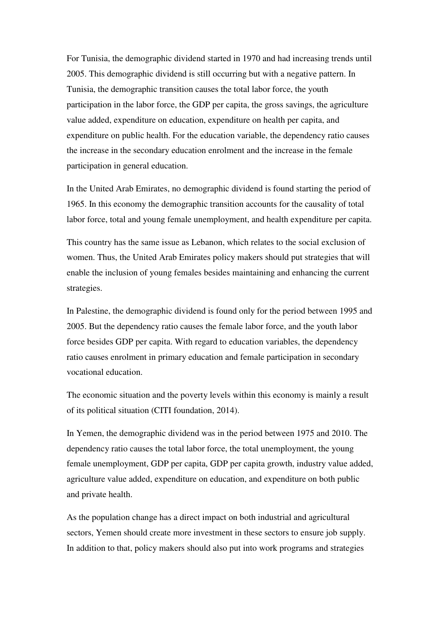For Tunisia, the demographic dividend started in 1970 and had increasing trends until 2005. This demographic dividend is still occurring but with a negative pattern. In Tunisia, the demographic transition causes the total labor force, the youth participation in the labor force, the GDP per capita, the gross savings, the agriculture value added, expenditure on education, expenditure on health per capita, and expenditure on public health. For the education variable, the dependency ratio causes the increase in the secondary education enrolment and the increase in the female participation in general education.

In the United Arab Emirates, no demographic dividend is found starting the period of 1965. In this economy the demographic transition accounts for the causality of total labor force, total and young female unemployment, and health expenditure per capita.

This country has the same issue as Lebanon, which relates to the social exclusion of women. Thus, the United Arab Emirates policy makers should put strategies that will enable the inclusion of young females besides maintaining and enhancing the current strategies.

In Palestine, the demographic dividend is found only for the period between 1995 and 2005. But the dependency ratio causes the female labor force, and the youth labor force besides GDP per capita. With regard to education variables, the dependency ratio causes enrolment in primary education and female participation in secondary vocational education.

The economic situation and the poverty levels within this economy is mainly a result of its political situation (CITI foundation, 2014).

In Yemen, the demographic dividend was in the period between 1975 and 2010. The dependency ratio causes the total labor force, the total unemployment, the young female unemployment, GDP per capita, GDP per capita growth, industry value added, agriculture value added, expenditure on education, and expenditure on both public and private health.

As the population change has a direct impact on both industrial and agricultural sectors, Yemen should create more investment in these sectors to ensure job supply. In addition to that, policy makers should also put into work programs and strategies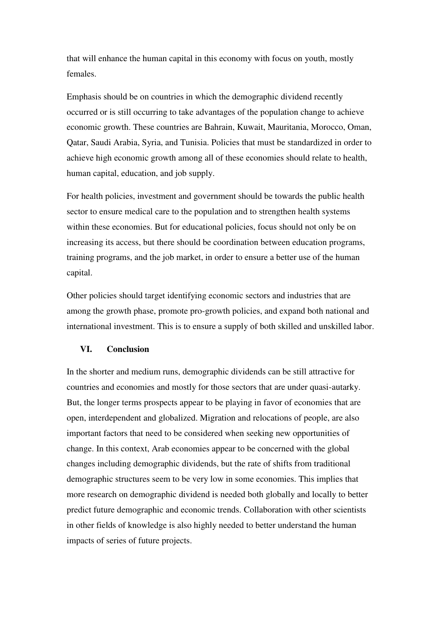that will enhance the human capital in this economy with focus on youth, mostly females.

Emphasis should be on countries in which the demographic dividend recently occurred or is still occurring to take advantages of the population change to achieve economic growth. These countries are Bahrain, Kuwait, Mauritania, Morocco, Oman, Qatar, Saudi Arabia, Syria, and Tunisia. Policies that must be standardized in order to achieve high economic growth among all of these economies should relate to health, human capital, education, and job supply.

For health policies, investment and government should be towards the public health sector to ensure medical care to the population and to strengthen health systems within these economies. But for educational policies, focus should not only be on increasing its access, but there should be coordination between education programs, training programs, and the job market, in order to ensure a better use of the human capital.

Other policies should target identifying economic sectors and industries that are among the growth phase, promote pro-growth policies, and expand both national and international investment. This is to ensure a supply of both skilled and unskilled labor.

#### **VI. Conclusion**

In the shorter and medium runs, demographic dividends can be still attractive for countries and economies and mostly for those sectors that are under quasi-autarky. But, the longer terms prospects appear to be playing in favor of economies that are open, interdependent and globalized. Migration and relocations of people, are also important factors that need to be considered when seeking new opportunities of change. In this context, Arab economies appear to be concerned with the global changes including demographic dividends, but the rate of shifts from traditional demographic structures seem to be very low in some economies. This implies that more research on demographic dividend is needed both globally and locally to better predict future demographic and economic trends. Collaboration with other scientists in other fields of knowledge is also highly needed to better understand the human impacts of series of future projects.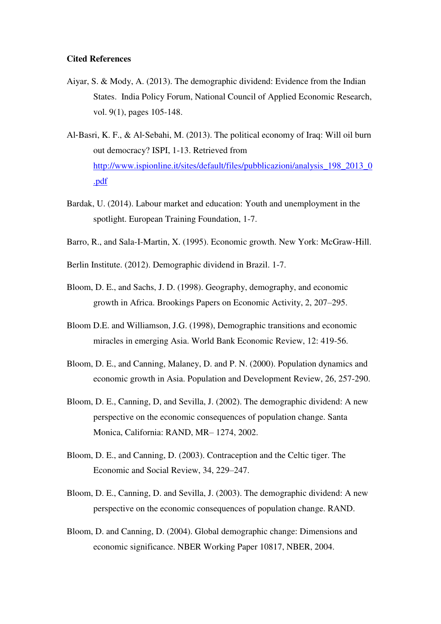#### **Cited References**

- Aiyar, S. & Mody, A. (2013). The demographic dividend: Evidence from the Indian States. India Policy Forum, National Council of Applied Economic Research, vol. 9(1), pages 105-148.
- Al‐Basri, K. F., & Al‐Sebahi, M. (2013). The political economy of Iraq: Will oil burn out democracy? ISPI, 1-13. Retrieved from [http://www.ispionline.it/sites/default/files/pubblicazioni/analysis\\_198\\_2013\\_0](http://www.ispionline.it/sites/default/files/pubblicazioni/analysis_198_2013_0.pdf) [.pdf](http://www.ispionline.it/sites/default/files/pubblicazioni/analysis_198_2013_0.pdf)
- Bardak, U. (2014). Labour market and education: Youth and unemployment in the spotlight. European Training Foundation, 1-7.
- Barro, R., and Sala-I-Martin, X. (1995). Economic growth. New York: McGraw-Hill.
- Berlin Institute. (2012). Demographic dividend in Brazil. 1-7.
- Bloom, D. E., and Sachs, J. D. (1998). Geography, demography, and economic growth in Africa. Brookings Papers on Economic Activity, 2, 207–295.
- Bloom D.E. and Williamson, J.G. (1998), Demographic transitions and economic miracles in emerging Asia. World Bank Economic Review, 12: 419-56.
- Bloom, D. E., and Canning, Malaney, D. and P. N. (2000). Population dynamics and economic growth in Asia. Population and Development Review, 26, 257-290.
- Bloom, D. E., Canning, D, and Sevilla, J. (2002). The demographic dividend: A new perspective on the economic consequences of population change. Santa Monica, California: RAND, MR– 1274, 2002.
- Bloom, D. E., and Canning, D. (2003). Contraception and the Celtic tiger. The Economic and Social Review, 34, 229–247.
- Bloom, D. E., Canning, D. and Sevilla, J. (2003). The demographic dividend: A new perspective on the economic consequences of population change. RAND.
- Bloom, D. and Canning, D. (2004). Global demographic change: Dimensions and economic significance. NBER Working Paper 10817, NBER, 2004.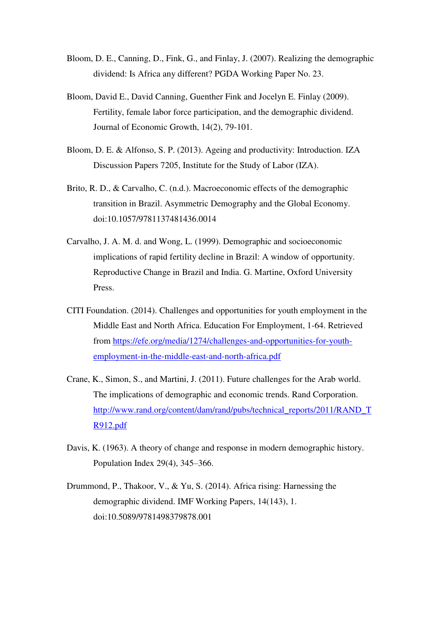- Bloom, D. E., Canning, D., Fink, G., and Finlay, J. (2007). Realizing the demographic dividend: Is Africa any different? PGDA Working Paper No. 23.
- Bloom, David E., David Canning, Guenther Fink and Jocelyn E. Finlay (2009). Fertility, female labor force participation, and the demographic dividend. Journal of Economic Growth, 14(2), 79-101.
- Bloom, D. E. & Alfonso, S. P. (2013). Ageing and productivity: Introduction. IZA Discussion Papers 7205, Institute for the Study of Labor (IZA).
- Brito, R. D., & Carvalho, C. (n.d.). Macroeconomic effects of the demographic transition in Brazil. Asymmetric Demography and the Global Economy. doi:10.1057/9781137481436.0014
- Carvalho, J. A. M. d. and Wong, L. (1999). Demographic and socioeconomic implications of rapid fertility decline in Brazil: A window of opportunity. Reproductive Change in Brazil and India. G. Martine, Oxford University Press.
- CITI Foundation. (2014). Challenges and opportunities for youth employment in the Middle East and North Africa. Education For Employment, 1-64. Retrieved from [https://efe.org/media/1274/challenges-and-opportunities-for-youth](https://efe.org/media/1274/challenges-and-opportunities-for-youth-employment-in-the-middle-east-and-north-africa.pdf)[employment-in-the-middle-east-and-north-africa.pdf](https://efe.org/media/1274/challenges-and-opportunities-for-youth-employment-in-the-middle-east-and-north-africa.pdf)
- Crane, K., Simon, S., and Martini, J. (2011). Future challenges for the Arab world. The implications of demographic and economic trends. Rand Corporation. [http://www.rand.org/content/dam/rand/pubs/technical\\_reports/2011/RAND\\_T](http://www.rand.org/content/dam/rand/pubs/technical_reports/2011/RAND_TR912.pdf) [R912.pdf](http://www.rand.org/content/dam/rand/pubs/technical_reports/2011/RAND_TR912.pdf)
- Davis, K. (1963). A theory of change and response in modern demographic history. Population Index 29(4), 345–366.
- Drummond, P., Thakoor, V., & Yu, S. (2014). Africa rising: Harnessing the demographic dividend. IMF Working Papers, 14(143), 1. doi:10.5089/9781498379878.001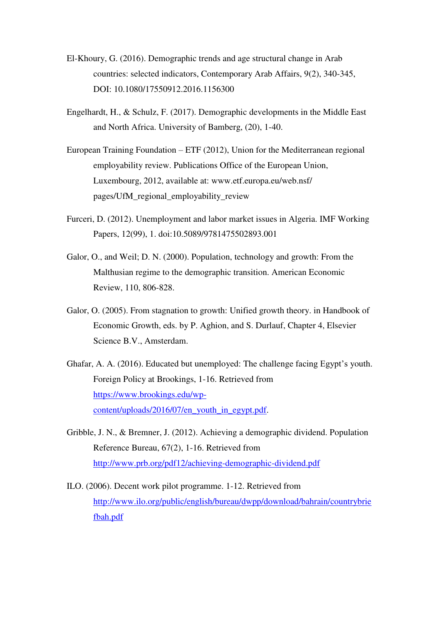- El-Khoury, G. (2016). Demographic trends and age structural change in Arab countries: selected indicators, Contemporary Arab Affairs, 9(2), 340-345, DOI: 10.1080/17550912.2016.1156300
- Engelhardt, H., & Schulz, F. (2017). Demographic developments in the Middle East and North Africa. University of Bamberg, (20), 1-40.
- European Training Foundation ETF (2012), Union for the Mediterranean regional employability review. Publications Office of the European Union, Luxembourg, 2012, available at: www.etf.europa.eu/web.nsf/ pages/UfM\_regional\_employability\_review
- Furceri, D. (2012). Unemployment and labor market issues in Algeria. IMF Working Papers, 12(99), 1. doi:10.5089/9781475502893.001
- Galor, O., and Weil; D. N. (2000). Population, technology and growth: From the Malthusian regime to the demographic transition. American Economic Review, 110, 806-828.
- Galor, O. (2005). From stagnation to growth: Unified growth theory. in Handbook of Economic Growth, eds. by P. Aghion, and S. Durlauf, Chapter 4, Elsevier Science B.V., Amsterdam.
- Ghafar, A. A. (2016). Educated but unemployed: The challenge facing Egypt's youth. Foreign Policy at Brookings, 1-16. Retrieved from [https://www.brookings.edu/wp](https://www.brookings.edu/wp-content/uploads/2016/07/en_youth_in_egypt.pdf)[content/uploads/2016/07/en\\_youth\\_in\\_egypt.pdf.](https://www.brookings.edu/wp-content/uploads/2016/07/en_youth_in_egypt.pdf)
- Gribble, J. N., & Bremner, J. (2012). Achieving a demographic dividend. Population Reference Bureau, 67(2), 1-16. Retrieved from <http://www.prb.org/pdf12/achieving-demographic-dividend.pdf>
- ILO. (2006). Decent work pilot programme. 1-12. Retrieved from [http://www.ilo.org/public/english/bureau/dwpp/download/bahrain/countrybrie](http://www.ilo.org/public/english/bureau/dwpp/download/bahrain/countrybriefbah.pdf) [fbah.pdf](http://www.ilo.org/public/english/bureau/dwpp/download/bahrain/countrybriefbah.pdf)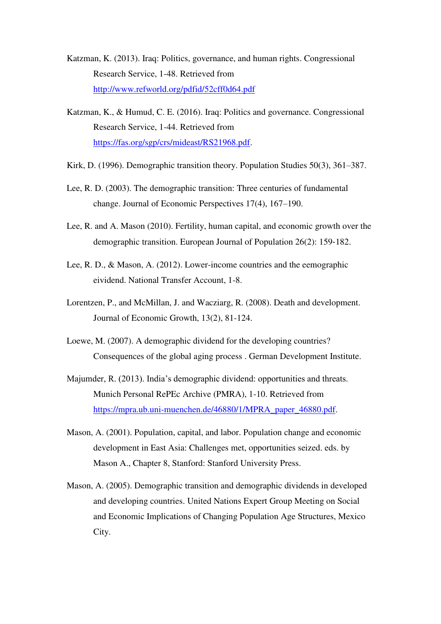- Katzman, K. (2013). Iraq: Politics, governance, and human rights. Congressional Research Service, 1-48. Retrieved from <http://www.refworld.org/pdfid/52cff0d64.pdf>
- Katzman, K., & Humud, C. E. (2016). Iraq: Politics and governance. Congressional Research Service, 1-44. Retrieved from [https://fas.org/sgp/crs/mideast/RS21968.pdf.](https://fas.org/sgp/crs/mideast/RS21968.pdf)
- Kirk, D. (1996). Demographic transition theory. Population Studies 50(3), 361–387.
- Lee, R. D. (2003). The demographic transition: Three centuries of fundamental change. Journal of Economic Perspectives 17(4), 167–190.
- Lee, R. and A. Mason (2010). Fertility, human capital, and economic growth over the demographic transition. European Journal of Population 26(2): 159‐182.
- Lee, R. D., & Mason, A. (2012). Lower-income countries and the eemographic eividend. National Transfer Account, 1-8.
- Lorentzen, P., and McMillan, J. and Wacziarg, R. (2008). Death and development. Journal of Economic Growth, 13(2), 81-124.
- Loewe, M. (2007). A demographic dividend for the developing countries? Consequences of the global aging process . German Development Institute.
- Majumder, R. (2013). India's demographic dividend: opportunities and threats. Munich Personal RePEc Archive (PMRA), 1-10. Retrieved from [https://mpra.ub.uni-muenchen.de/46880/1/MPRA\\_paper\\_46880.pdf.](https://mpra.ub.uni-muenchen.de/46880/1/MPRA_paper_46880.pdf)
- Mason, A. (2001). Population, capital, and labor. Population change and economic development in East Asia: Challenges met, opportunities seized. eds. by Mason A., Chapter 8, Stanford: Stanford University Press.
- Mason, A. (2005). Demographic transition and demographic dividends in developed and developing countries. United Nations Expert Group Meeting on Social and Economic Implications of Changing Population Age Structures, Mexico City.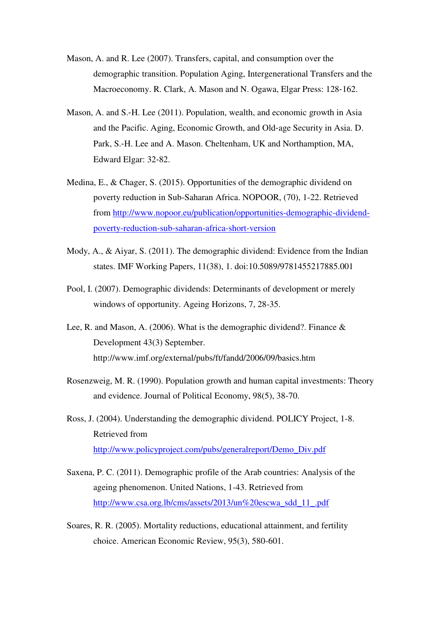- Mason, A. and R. Lee (2007). Transfers, capital, and consumption over the demographic transition. Population Aging, Intergenerational Transfers and the Macroeconomy. R. Clark, A. Mason and N. Ogawa, Elgar Press: 128‐162.
- Mason, A. and S.‐H. Lee (2011). Population, wealth, and economic growth in Asia and the Pacific. Aging, Economic Growth, and Old‐age Security in Asia. D. Park, S.‐H. Lee and A. Mason. Cheltenham, UK and Northamption, MA, Edward Elgar: 32‐82.
- Medina, E., & Chager, S. (2015). Opportunities of the demographic dividend on poverty reduction in Sub-Saharan Africa. NOPOOR, (70), 1-22. Retrieved from [http://www.nopoor.eu/publication/opportunities-demographic-dividend](http://www.nopoor.eu/publication/opportunities-demographic-dividend-poverty-reduction-sub-saharan-africa-short-version)[poverty-reduction-sub-saharan-africa-short-version](http://www.nopoor.eu/publication/opportunities-demographic-dividend-poverty-reduction-sub-saharan-africa-short-version)
- Mody, A., & Aiyar, S. (2011). The demographic dividend: Evidence from the Indian states. IMF Working Papers, 11(38), 1. doi:10.5089/9781455217885.001
- Pool, I. (2007). Demographic dividends: Determinants of development or merely windows of opportunity. Ageing Horizons, 7, 28-35.
- Lee, R. and Mason, A. (2006). What is the demographic dividend?. Finance & Development 43(3) September. http://www.imf.org/external/pubs/ft/fandd/2006/09/basics.htm
- Rosenzweig, M. R. (1990). Population growth and human capital investments: Theory and evidence. Journal of Political Economy, 98(5), 38-70.
- Ross, J. (2004). Understanding the demographic dividend. POLICY Project, 1-8. Retrieved from [http://www.policyproject.com/pubs/generalreport/Demo\\_Div.pdf](http://www.policyproject.com/pubs/generalreport/Demo_Div.pdf)
- Saxena, P. C. (2011). Demographic profile of the Arab countries: Analysis of the ageing phenomenon. United Nations, 1-43. Retrieved from [http://www.csa.org.lb/cms/assets/2013/un%20escwa\\_sdd\\_11\\_.pdf](http://www.csa.org.lb/cms/assets/2013/un%20escwa_sdd_11_.pdf)
- Soares, R. R. (2005). Mortality reductions, educational attainment, and fertility choice. American Economic Review, 95(3), 580-601.